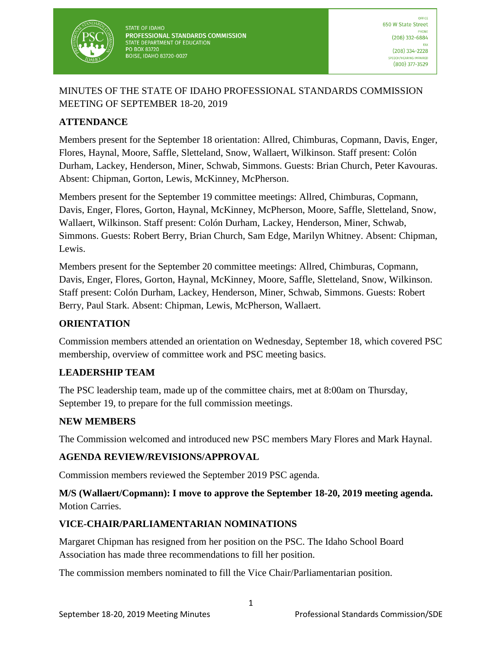

# MINUTES OF THE STATE OF IDAHO PROFESSIONAL STANDARDS COMMISSION MEETING OF SEPTEMBER 18-20, 2019

# **ATTENDANCE**

Members present for the September 18 orientation: Allred, Chimburas, Copmann, Davis, Enger, Flores, Haynal, Moore, Saffle, Sletteland, Snow, Wallaert, Wilkinson. Staff present: Colón Durham, Lackey, Henderson, Miner, Schwab, Simmons. Guests: Brian Church, Peter Kavouras. Absent: Chipman, Gorton, Lewis, McKinney, McPherson.

Members present for the September 19 committee meetings: Allred, Chimburas, Copmann, Davis, Enger, Flores, Gorton, Haynal, McKinney, McPherson, Moore, Saffle, Sletteland, Snow, Wallaert, Wilkinson. Staff present: Colón Durham, Lackey, Henderson, Miner, Schwab, Simmons. Guests: Robert Berry, Brian Church, Sam Edge, Marilyn Whitney. Absent: Chipman, Lewis.

Members present for the September 20 committee meetings: Allred, Chimburas, Copmann, Davis, Enger, Flores, Gorton, Haynal, McKinney, Moore, Saffle, Sletteland, Snow, Wilkinson. Staff present: Colón Durham, Lackey, Henderson, Miner, Schwab, Simmons. Guests: Robert Berry, Paul Stark. Absent: Chipman, Lewis, McPherson, Wallaert.

### **ORIENTATION**

Commission members attended an orientation on Wednesday, September 18, which covered PSC membership, overview of committee work and PSC meeting basics.

# **LEADERSHIP TEAM**

The PSC leadership team, made up of the committee chairs, met at 8:00am on Thursday, September 19, to prepare for the full commission meetings.

### **NEW MEMBERS**

The Commission welcomed and introduced new PSC members Mary Flores and Mark Haynal.

### **AGENDA REVIEW/REVISIONS/APPROVAL**

Commission members reviewed the September 2019 PSC agenda.

**M/S (Wallaert/Copmann): I move to approve the September 18-20, 2019 meeting agenda.**  Motion Carries.

### **VICE-CHAIR/PARLIAMENTARIAN NOMINATIONS**

Margaret Chipman has resigned from her position on the PSC. The Idaho School Board Association has made three recommendations to fill her position.

The commission members nominated to fill the Vice Chair/Parliamentarian position.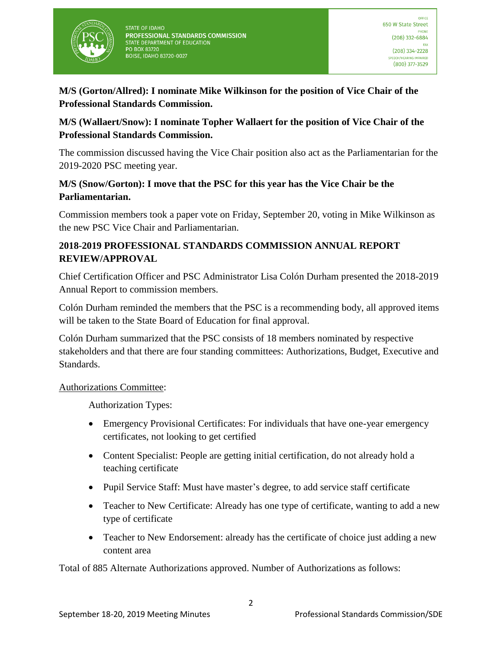

# **M/S (Gorton/Allred): I nominate Mike Wilkinson for the position of Vice Chair of the Professional Standards Commission.**

# **M/S (Wallaert/Snow): I nominate Topher Wallaert for the position of Vice Chair of the Professional Standards Commission.**

The commission discussed having the Vice Chair position also act as the Parliamentarian for the 2019-2020 PSC meeting year.

# **M/S (Snow/Gorton): I move that the PSC for this year has the Vice Chair be the Parliamentarian.**

Commission members took a paper vote on Friday, September 20, voting in Mike Wilkinson as the new PSC Vice Chair and Parliamentarian.

# **2018-2019 PROFESSIONAL STANDARDS COMMISSION ANNUAL REPORT REVIEW/APPROVAL**

Chief Certification Officer and PSC Administrator Lisa Colón Durham presented the 2018-2019 Annual Report to commission members.

Colón Durham reminded the members that the PSC is a recommending body, all approved items will be taken to the State Board of Education for final approval.

Colón Durham summarized that the PSC consists of 18 members nominated by respective stakeholders and that there are four standing committees: Authorizations, Budget, Executive and Standards.

# Authorizations Committee:

Authorization Types:

- Emergency Provisional Certificates: For individuals that have one-year emergency certificates, not looking to get certified
- Content Specialist: People are getting initial certification, do not already hold a teaching certificate
- Pupil Service Staff: Must have master's degree, to add service staff certificate
- Teacher to New Certificate: Already has one type of certificate, wanting to add a new type of certificate
- Teacher to New Endorsement: already has the certificate of choice just adding a new content area

Total of 885 Alternate Authorizations approved. Number of Authorizations as follows: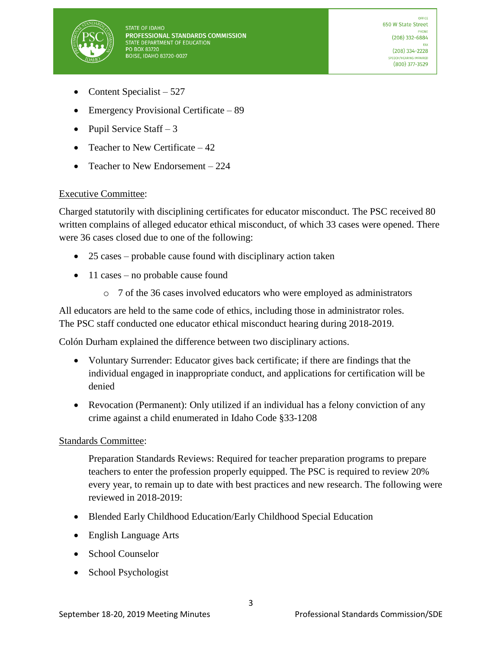

- Content Specialist 527
- Emergency Provisional Certificate 89
- Pupil Service Staff  $-3$
- Teacher to New Certificate  $-42$
- Teacher to New Endorsement  $-224$

#### Executive Committee:

Charged statutorily with disciplining certificates for educator misconduct. The PSC received 80 written complains of alleged educator ethical misconduct, of which 33 cases were opened. There were 36 cases closed due to one of the following:

- 25 cases probable cause found with disciplinary action taken
- 11 cases no probable cause found
	- o 7 of the 36 cases involved educators who were employed as administrators

All educators are held to the same code of ethics, including those in administrator roles. The PSC staff conducted one educator ethical misconduct hearing during 2018-2019.

Colón Durham explained the difference between two disciplinary actions.

- Voluntary Surrender: Educator gives back certificate; if there are findings that the individual engaged in inappropriate conduct, and applications for certification will be denied
- Revocation (Permanent): Only utilized if an individual has a felony conviction of any crime against a child enumerated in Idaho Code §33-1208

### Standards Committee:

Preparation Standards Reviews: Required for teacher preparation programs to prepare teachers to enter the profession properly equipped. The PSC is required to review 20% every year, to remain up to date with best practices and new research. The following were reviewed in 2018-2019:

- Blended Early Childhood Education/Early Childhood Special Education
- English Language Arts
- School Counselor
- School Psychologist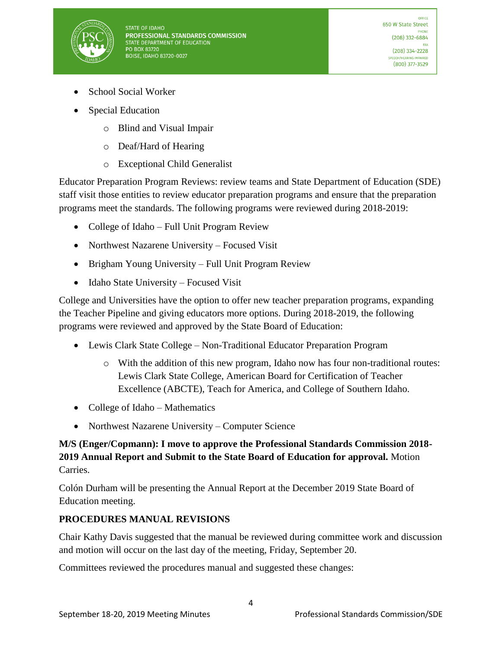

- School Social Worker
- Special Education
	- o Blind and Visual Impair
	- o Deaf/Hard of Hearing
	- o Exceptional Child Generalist

Educator Preparation Program Reviews: review teams and State Department of Education (SDE) staff visit those entities to review educator preparation programs and ensure that the preparation programs meet the standards. The following programs were reviewed during 2018-2019:

- College of Idaho Full Unit Program Review
- Northwest Nazarene University Focused Visit
- Brigham Young University Full Unit Program Review
- Idaho State University Focused Visit

College and Universities have the option to offer new teacher preparation programs, expanding the Teacher Pipeline and giving educators more options. During 2018-2019, the following programs were reviewed and approved by the State Board of Education:

- Lewis Clark State College Non-Traditional Educator Preparation Program
	- o With the addition of this new program, Idaho now has four non-traditional routes: Lewis Clark State College, American Board for Certification of Teacher Excellence (ABCTE), Teach for America, and College of Southern Idaho.
- College of Idaho Mathematics
- Northwest Nazarene University Computer Science

# **M/S (Enger/Copmann): I move to approve the Professional Standards Commission 2018- 2019 Annual Report and Submit to the State Board of Education for approval.** Motion Carries.

Colón Durham will be presenting the Annual Report at the December 2019 State Board of Education meeting.

### **PROCEDURES MANUAL REVISIONS**

Chair Kathy Davis suggested that the manual be reviewed during committee work and discussion and motion will occur on the last day of the meeting, Friday, September 20.

Committees reviewed the procedures manual and suggested these changes: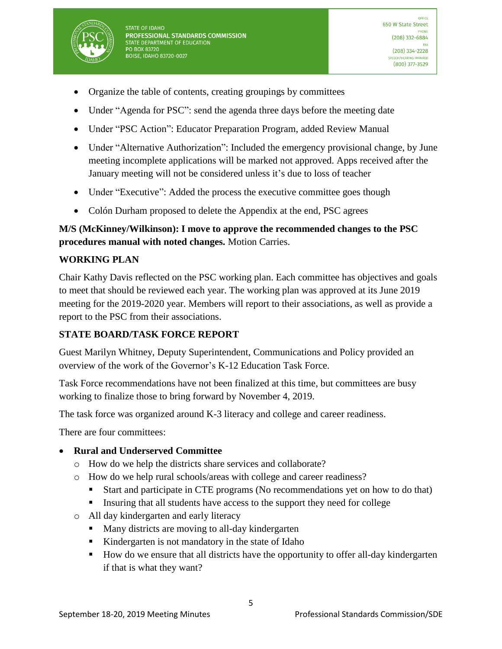

- Organize the table of contents, creating groupings by committees
- Under "Agenda for PSC": send the agenda three days before the meeting date
- Under "PSC Action": Educator Preparation Program, added Review Manual
- Under "Alternative Authorization": Included the emergency provisional change, by June meeting incomplete applications will be marked not approved. Apps received after the January meeting will not be considered unless it's due to loss of teacher
- Under "Executive": Added the process the executive committee goes though
- Colón Durham proposed to delete the Appendix at the end, PSC agrees

# **M/S (McKinney/Wilkinson): I move to approve the recommended changes to the PSC procedures manual with noted changes.** Motion Carries.

### **WORKING PLAN**

Chair Kathy Davis reflected on the PSC working plan. Each committee has objectives and goals to meet that should be reviewed each year. The working plan was approved at its June 2019 meeting for the 2019-2020 year. Members will report to their associations, as well as provide a report to the PSC from their associations.

### **STATE BOARD/TASK FORCE REPORT**

Guest Marilyn Whitney, Deputy Superintendent, Communications and Policy provided an overview of the work of the Governor's K-12 Education Task Force.

Task Force recommendations have not been finalized at this time, but committees are busy working to finalize those to bring forward by November 4, 2019.

The task force was organized around K-3 literacy and college and career readiness.

There are four committees:

### • **Rural and Underserved Committee**

- o How do we help the districts share services and collaborate?
- o How do we help rural schools/areas with college and career readiness?
	- Start and participate in CTE programs (No recommendations yet on how to do that)
	- **Exercise 1** Insuring that all students have access to the support they need for college
- o All day kindergarten and early literacy
	- Many districts are moving to all-day kindergarten
	- Kindergarten is not mandatory in the state of Idaho
	- How do we ensure that all districts have the opportunity to offer all-day kindergarten if that is what they want?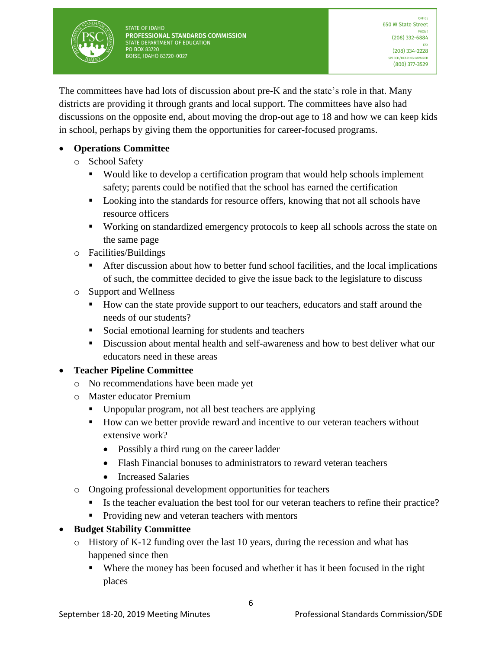

The committees have had lots of discussion about pre-K and the state's role in that. Many districts are providing it through grants and local support. The committees have also had discussions on the opposite end, about moving the drop-out age to 18 and how we can keep kids in school, perhaps by giving them the opportunities for career-focused programs.

# • **Operations Committee**

- o School Safety
	- Would like to develop a certification program that would help schools implement safety; parents could be notified that the school has earned the certification
	- Looking into the standards for resource offers, knowing that not all schools have resource officers
	- Working on standardized emergency protocols to keep all schools across the state on the same page
- o Facilities/Buildings
	- After discussion about how to better fund school facilities, and the local implications of such, the committee decided to give the issue back to the legislature to discuss
- o Support and Wellness
	- How can the state provide support to our teachers, educators and staff around the needs of our students?
	- Social emotional learning for students and teachers
	- Discussion about mental health and self-awareness and how to best deliver what our educators need in these areas

# • **Teacher Pipeline Committee**

- o No recommendations have been made yet
- o Master educator Premium
	- Unpopular program, not all best teachers are applying
	- How can we better provide reward and incentive to our veteran teachers without extensive work?
		- Possibly a third rung on the career ladder
		- Flash Financial bonuses to administrators to reward veteran teachers
		- Increased Salaries
- o Ongoing professional development opportunities for teachers
	- Is the teacher evaluation the best tool for our veteran teachers to refine their practice?
	- **•** Providing new and veteran teachers with mentors

# • **Budget Stability Committee**

- o History of K-12 funding over the last 10 years, during the recession and what has happened since then
	- Where the money has been focused and whether it has it been focused in the right places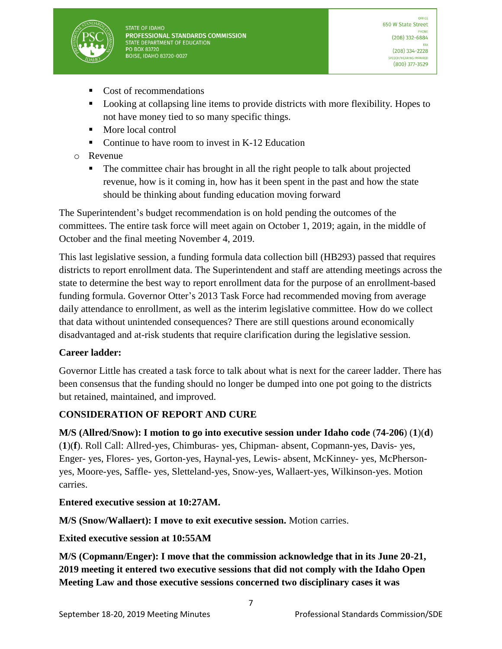

- Cost of recommendations
- Looking at collapsing line items to provide districts with more flexibility. Hopes to not have money tied to so many specific things.
- More local control
- Continue to have room to invest in K-12 Education
- o Revenue
	- The committee chair has brought in all the right people to talk about projected revenue, how is it coming in, how has it been spent in the past and how the state should be thinking about funding education moving forward

The Superintendent's budget recommendation is on hold pending the outcomes of the committees. The entire task force will meet again on October 1, 2019; again, in the middle of October and the final meeting November 4, 2019.

This last legislative session, a funding formula data collection bill (HB293) passed that requires districts to report enrollment data. The Superintendent and staff are attending meetings across the state to determine the best way to report enrollment data for the purpose of an enrollment-based funding formula. Governor Otter's 2013 Task Force had recommended moving from average daily attendance to enrollment, as well as the interim legislative committee. How do we collect that data without unintended consequences? There are still questions around economically disadvantaged and at-risk students that require clarification during the legislative session.

### **Career ladder:**

Governor Little has created a task force to talk about what is next for the career ladder. There has been consensus that the funding should no longer be dumped into one pot going to the districts but retained, maintained, and improved.

### **CONSIDERATION OF REPORT AND CURE**

**M/S (Allred/Snow): I motion to go into executive session under Idaho code** (**74-206**) (**1**)(**d**) (**1**)(**f**). Roll Call: Allred-yes, Chimburas- yes, Chipman- absent, Copmann-yes, Davis- yes, Enger- yes, Flores- yes, Gorton-yes, Haynal-yes, Lewis- absent, McKinney- yes, McPhersonyes, Moore-yes, Saffle- yes, Sletteland-yes, Snow-yes, Wallaert-yes, Wilkinson-yes. Motion carries.

#### **Entered executive session at 10:27AM.**

**M/S (Snow/Wallaert): I move to exit executive session.** Motion carries.

### **Exited executive session at 10:55AM**

**M/S (Copmann/Enger): I move that the commission acknowledge that in its June 20-21, 2019 meeting it entered two executive sessions that did not comply with the Idaho Open Meeting Law and those executive sessions concerned two disciplinary cases it was**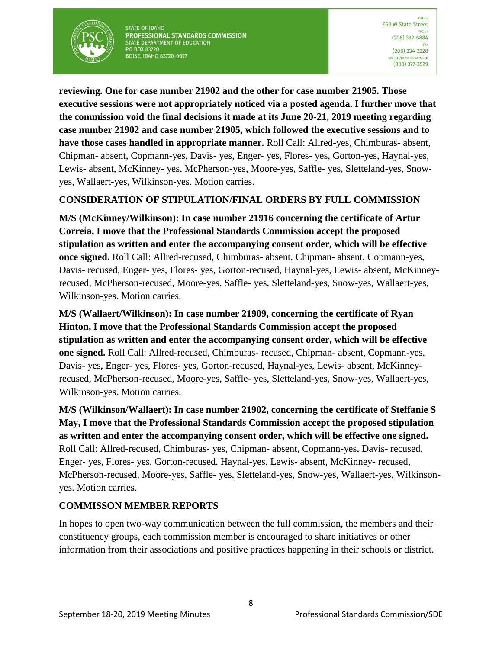

**reviewing. One for case number 21902 and the other for case number 21905. Those executive sessions were not appropriately noticed via a posted agenda. I further move that the commission void the final decisions it made at its June 20-21, 2019 meeting regarding case number 21902 and case number 21905, which followed the executive sessions and to have those cases handled in appropriate manner.** Roll Call: Allred-yes, Chimburas- absent, Chipman- absent, Copmann-yes, Davis- yes, Enger- yes, Flores- yes, Gorton-yes, Haynal-yes, Lewis- absent, McKinney- yes, McPherson-yes, Moore-yes, Saffle- yes, Sletteland-yes, Snowyes, Wallaert-yes, Wilkinson-yes. Motion carries.

### **CONSIDERATION OF STIPULATION/FINAL ORDERS BY FULL COMMISSION**

**M/S (McKinney/Wilkinson): In case number 21916 concerning the certificate of Artur Correia, I move that the Professional Standards Commission accept the proposed stipulation as written and enter the accompanying consent order, which will be effective once signed.** Roll Call: Allred-recused, Chimburas- absent, Chipman- absent, Copmann-yes, Davis- recused, Enger- yes, Flores- yes, Gorton-recused, Haynal-yes, Lewis- absent, McKinneyrecused, McPherson-recused, Moore-yes, Saffle- yes, Sletteland-yes, Snow-yes, Wallaert-yes, Wilkinson-yes. Motion carries.

**M/S (Wallaert/Wilkinson): In case number 21909, concerning the certificate of Ryan Hinton, I move that the Professional Standards Commission accept the proposed stipulation as written and enter the accompanying consent order, which will be effective one signed.** Roll Call: Allred-recused, Chimburas- recused, Chipman- absent, Copmann-yes, Davis- yes, Enger- yes, Flores- yes, Gorton-recused, Haynal-yes, Lewis- absent, McKinneyrecused, McPherson-recused, Moore-yes, Saffle- yes, Sletteland-yes, Snow-yes, Wallaert-yes, Wilkinson-yes. Motion carries.

**M/S (Wilkinson/Wallaert): In case number 21902, concerning the certificate of Steffanie S May, I move that the Professional Standards Commission accept the proposed stipulation as written and enter the accompanying consent order, which will be effective one signed.**  Roll Call: Allred-recused, Chimburas- yes, Chipman- absent, Copmann-yes, Davis- recused, Enger- yes, Flores- yes, Gorton-recused, Haynal-yes, Lewis- absent, McKinney- recused, McPherson-recused, Moore-yes, Saffle- yes, Sletteland-yes, Snow-yes, Wallaert-yes, Wilkinsonyes. Motion carries.

### **COMMISSON MEMBER REPORTS**

In hopes to open two-way communication between the full commission, the members and their constituency groups, each commission member is encouraged to share initiatives or other information from their associations and positive practices happening in their schools or district.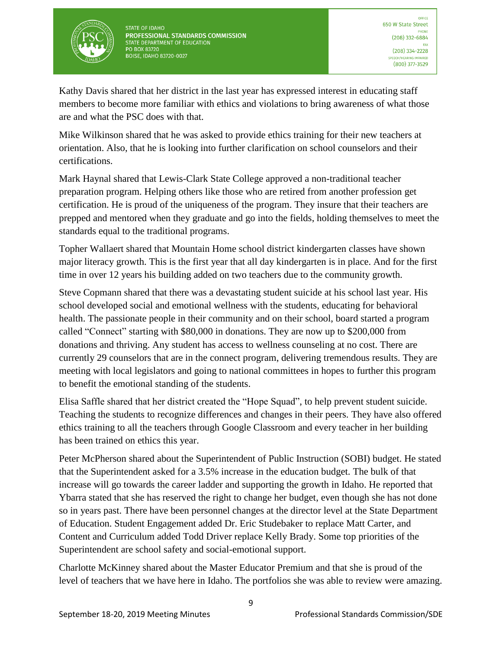

Kathy Davis shared that her district in the last year has expressed interest in educating staff members to become more familiar with ethics and violations to bring awareness of what those are and what the PSC does with that.

Mike Wilkinson shared that he was asked to provide ethics training for their new teachers at orientation. Also, that he is looking into further clarification on school counselors and their certifications.

Mark Haynal shared that Lewis-Clark State College approved a non-traditional teacher preparation program. Helping others like those who are retired from another profession get certification. He is proud of the uniqueness of the program. They insure that their teachers are prepped and mentored when they graduate and go into the fields, holding themselves to meet the standards equal to the traditional programs.

Topher Wallaert shared that Mountain Home school district kindergarten classes have shown major literacy growth. This is the first year that all day kindergarten is in place. And for the first time in over 12 years his building added on two teachers due to the community growth.

Steve Copmann shared that there was a devastating student suicide at his school last year. His school developed social and emotional wellness with the students, educating for behavioral health. The passionate people in their community and on their school, board started a program called "Connect" starting with \$80,000 in donations. They are now up to \$200,000 from donations and thriving. Any student has access to wellness counseling at no cost. There are currently 29 counselors that are in the connect program, delivering tremendous results. They are meeting with local legislators and going to national committees in hopes to further this program to benefit the emotional standing of the students.

Elisa Saffle shared that her district created the "Hope Squad", to help prevent student suicide. Teaching the students to recognize differences and changes in their peers. They have also offered ethics training to all the teachers through Google Classroom and every teacher in her building has been trained on ethics this year.

Peter McPherson shared about the Superintendent of Public Instruction (SOBI) budget. He stated that the Superintendent asked for a 3.5% increase in the education budget. The bulk of that increase will go towards the career ladder and supporting the growth in Idaho. He reported that Ybarra stated that she has reserved the right to change her budget, even though she has not done so in years past. There have been personnel changes at the director level at the State Department of Education. Student Engagement added Dr. Eric Studebaker to replace Matt Carter, and Content and Curriculum added Todd Driver replace Kelly Brady. Some top priorities of the Superintendent are school safety and social-emotional support.

Charlotte McKinney shared about the Master Educator Premium and that she is proud of the level of teachers that we have here in Idaho. The portfolios she was able to review were amazing.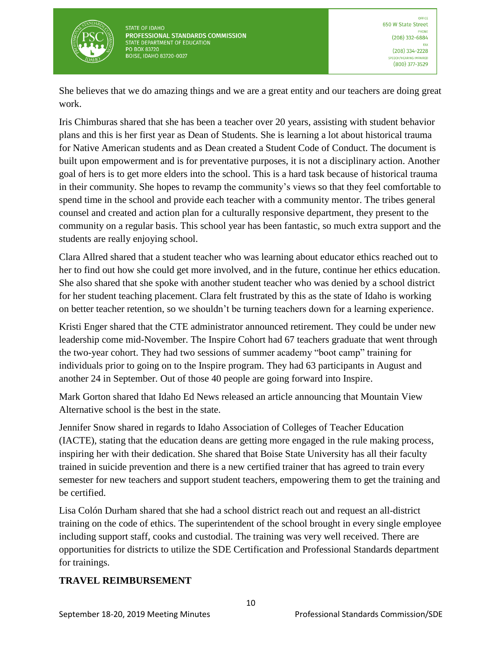

She believes that we do amazing things and we are a great entity and our teachers are doing great work.

Iris Chimburas shared that she has been a teacher over 20 years, assisting with student behavior plans and this is her first year as Dean of Students. She is learning a lot about historical trauma for Native American students and as Dean created a Student Code of Conduct. The document is built upon empowerment and is for preventative purposes, it is not a disciplinary action. Another goal of hers is to get more elders into the school. This is a hard task because of historical trauma in their community. She hopes to revamp the community's views so that they feel comfortable to spend time in the school and provide each teacher with a community mentor. The tribes general counsel and created and action plan for a culturally responsive department, they present to the community on a regular basis. This school year has been fantastic, so much extra support and the students are really enjoying school.

Clara Allred shared that a student teacher who was learning about educator ethics reached out to her to find out how she could get more involved, and in the future, continue her ethics education. She also shared that she spoke with another student teacher who was denied by a school district for her student teaching placement. Clara felt frustrated by this as the state of Idaho is working on better teacher retention, so we shouldn't be turning teachers down for a learning experience.

Kristi Enger shared that the CTE administrator announced retirement. They could be under new leadership come mid-November. The Inspire Cohort had 67 teachers graduate that went through the two-year cohort. They had two sessions of summer academy "boot camp" training for individuals prior to going on to the Inspire program. They had 63 participants in August and another 24 in September. Out of those 40 people are going forward into Inspire.

Mark Gorton shared that Idaho Ed News released an article announcing that Mountain View Alternative school is the best in the state.

Jennifer Snow shared in regards to Idaho Association of Colleges of Teacher Education (IACTE), stating that the education deans are getting more engaged in the rule making process, inspiring her with their dedication. She shared that Boise State University has all their faculty trained in suicide prevention and there is a new certified trainer that has agreed to train every semester for new teachers and support student teachers, empowering them to get the training and be certified.

Lisa Colón Durham shared that she had a school district reach out and request an all-district training on the code of ethics. The superintendent of the school brought in every single employee including support staff, cooks and custodial. The training was very well received. There are opportunities for districts to utilize the SDE Certification and Professional Standards department for trainings.

### **TRAVEL REIMBURSEMENT**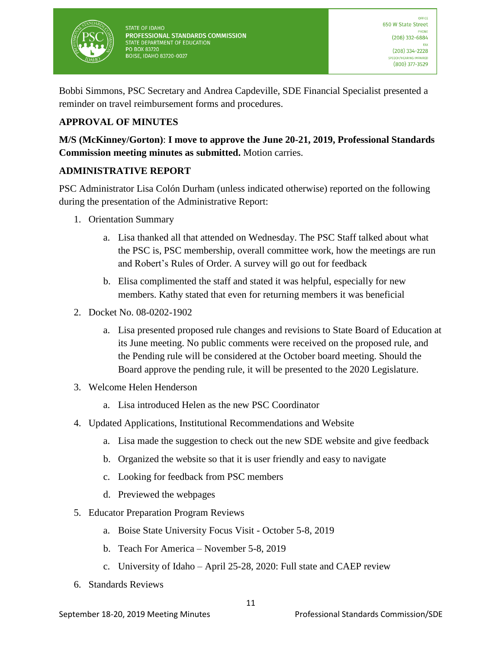

Bobbi Simmons, PSC Secretary and Andrea Capdeville, SDE Financial Specialist presented a reminder on travel reimbursement forms and procedures.

# **APPROVAL OF MINUTES**

**M/S (McKinney/Gorton)**: **I move to approve the June 20-21, 2019, Professional Standards Commission meeting minutes as submitted.** Motion carries.

# **ADMINISTRATIVE REPORT**

PSC Administrator Lisa Colón Durham (unless indicated otherwise) reported on the following during the presentation of the Administrative Report:

- 1. Orientation Summary
	- a. Lisa thanked all that attended on Wednesday. The PSC Staff talked about what the PSC is, PSC membership, overall committee work, how the meetings are run and Robert's Rules of Order. A survey will go out for feedback
	- b. Elisa complimented the staff and stated it was helpful, especially for new members. Kathy stated that even for returning members it was beneficial
- 2. Docket No. 08-0202-1902
	- a. Lisa presented proposed rule changes and revisions to State Board of Education at its June meeting. No public comments were received on the proposed rule, and the Pending rule will be considered at the October board meeting. Should the Board approve the pending rule, it will be presented to the 2020 Legislature.
- 3. Welcome Helen Henderson
	- a. Lisa introduced Helen as the new PSC Coordinator
- 4. Updated Applications, Institutional Recommendations and Website
	- a. Lisa made the suggestion to check out the new SDE website and give feedback
	- b. Organized the website so that it is user friendly and easy to navigate
	- c. Looking for feedback from PSC members
	- d. Previewed the webpages
- 5. Educator Preparation Program Reviews
	- a. Boise State University Focus Visit October 5-8, 2019
	- b. Teach For America November 5-8, 2019
	- c. University of Idaho April 25-28, 2020: Full state and CAEP review
- 6. Standards Reviews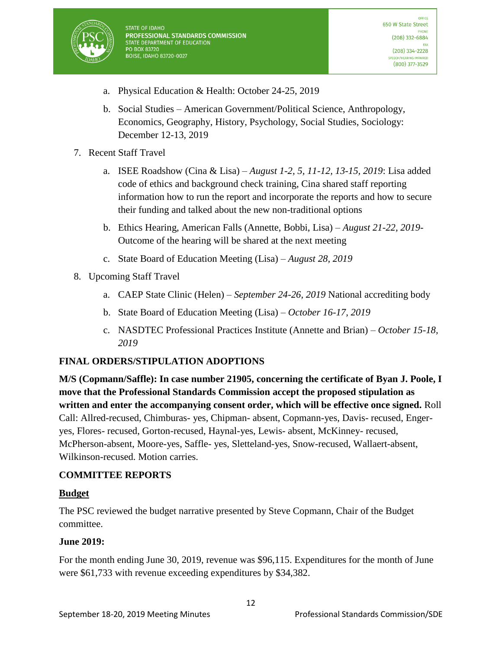

- a. Physical Education & Health: October 24-25, 2019
- b. Social Studies American Government/Political Science, Anthropology, Economics, Geography, History, Psychology, Social Studies, Sociology: December 12-13, 2019
- 7. Recent Staff Travel
	- a. ISEE Roadshow (Cina & Lisa) *August 1-2, 5, 11-12, 13-15, 2019*: Lisa added code of ethics and background check training, Cina shared staff reporting information how to run the report and incorporate the reports and how to secure their funding and talked about the new non-traditional options
	- b. Ethics Hearing, American Falls (Annette, Bobbi, Lisa) *August 21-22, 2019-* Outcome of the hearing will be shared at the next meeting
	- c. State Board of Education Meeting (Lisa) *August 28, 2019*
- 8. Upcoming Staff Travel
	- a. CAEP State Clinic (Helen) *September 24-26, 2019* National accrediting body
	- b. State Board of Education Meeting (Lisa) *October 16-17, 2019*
	- c. NASDTEC Professional Practices Institute (Annette and Brian) *October 15-18, 2019*

### **FINAL ORDERS/STIPULATION ADOPTIONS**

**M/S (Copmann/Saffle): In case number 21905, concerning the certificate of Byan J. Poole, I move that the Professional Standards Commission accept the proposed stipulation as written and enter the accompanying consent order, which will be effective once signed.** Roll Call: Allred-recused, Chimburas- yes, Chipman- absent, Copmann-yes, Davis- recused, Engeryes, Flores- recused, Gorton-recused, Haynal-yes, Lewis- absent, McKinney- recused, McPherson-absent, Moore-yes, Saffle- yes, Sletteland-yes, Snow-recused, Wallaert-absent, Wilkinson-recused. Motion carries.

#### **COMMITTEE REPORTS**

#### **Budget**

The PSC reviewed the budget narrative presented by Steve Copmann, Chair of the Budget committee.

#### **June 2019:**

For the month ending June 30, 2019, revenue was \$96,115. Expenditures for the month of June were \$61,733 with revenue exceeding expenditures by \$34,382.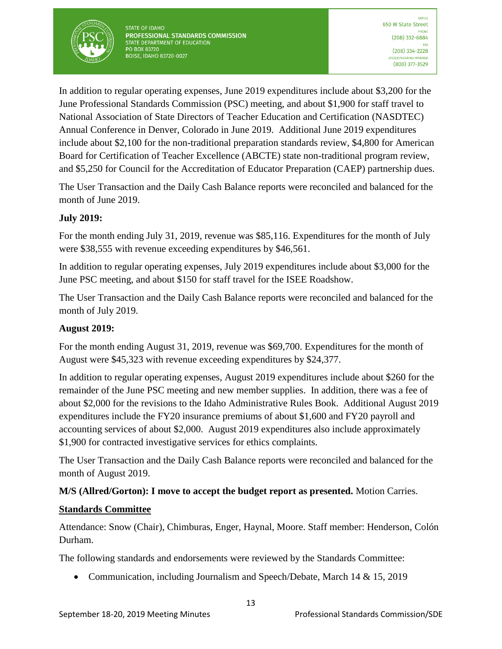

In addition to regular operating expenses, June 2019 expenditures include about \$3,200 for the June Professional Standards Commission (PSC) meeting, and about \$1,900 for staff travel to National Association of State Directors of Teacher Education and Certification (NASDTEC) Annual Conference in Denver, Colorado in June 2019. Additional June 2019 expenditures include about \$2,100 for the non-traditional preparation standards review, \$4,800 for American Board for Certification of Teacher Excellence (ABCTE) state non-traditional program review, and \$5,250 for Council for the Accreditation of Educator Preparation (CAEP) partnership dues.

The User Transaction and the Daily Cash Balance reports were reconciled and balanced for the month of June 2019.

### **July 2019:**

For the month ending July 31, 2019, revenue was \$85,116. Expenditures for the month of July were \$38,555 with revenue exceeding expenditures by \$46,561.

In addition to regular operating expenses, July 2019 expenditures include about \$3,000 for the June PSC meeting, and about \$150 for staff travel for the ISEE Roadshow.

The User Transaction and the Daily Cash Balance reports were reconciled and balanced for the month of July 2019.

### **August 2019:**

For the month ending August 31, 2019, revenue was \$69,700. Expenditures for the month of August were \$45,323 with revenue exceeding expenditures by \$24,377.

In addition to regular operating expenses, August 2019 expenditures include about \$260 for the remainder of the June PSC meeting and new member supplies. In addition, there was a fee of about \$2,000 for the revisions to the Idaho Administrative Rules Book. Additional August 2019 expenditures include the FY20 insurance premiums of about \$1,600 and FY20 payroll and accounting services of about \$2,000. August 2019 expenditures also include approximately \$1,900 for contracted investigative services for ethics complaints.

The User Transaction and the Daily Cash Balance reports were reconciled and balanced for the month of August 2019.

### **M/S (Allred/Gorton): I move to accept the budget report as presented.** Motion Carries.

### **Standards Committee**

Attendance: Snow (Chair), Chimburas, Enger, Haynal, Moore. Staff member: Henderson, Colón Durham.

The following standards and endorsements were reviewed by the Standards Committee:

• Communication, including Journalism and Speech/Debate, March 14 & 15, 2019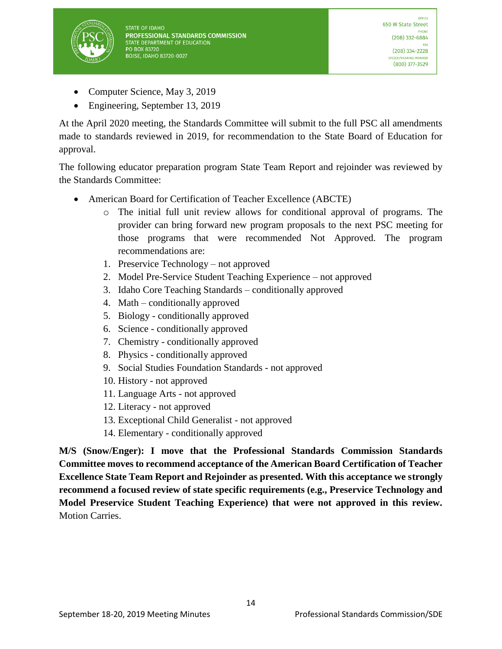

- Computer Science, May 3, 2019
- Engineering, September 13, 2019

At the April 2020 meeting, the Standards Committee will submit to the full PSC all amendments made to standards reviewed in 2019, for recommendation to the State Board of Education for approval.

The following educator preparation program State Team Report and rejoinder was reviewed by the Standards Committee:

- American Board for Certification of Teacher Excellence (ABCTE)
	- o The initial full unit review allows for conditional approval of programs. The provider can bring forward new program proposals to the next PSC meeting for those programs that were recommended Not Approved. The program recommendations are:
	- 1. Preservice Technology not approved
	- 2. Model Pre-Service Student Teaching Experience not approved
	- 3. Idaho Core Teaching Standards conditionally approved
	- 4. Math conditionally approved
	- 5. Biology conditionally approved
	- 6. Science conditionally approved
	- 7. Chemistry conditionally approved
	- 8. Physics conditionally approved
	- 9. Social Studies Foundation Standards not approved
	- 10. History not approved
	- 11. Language Arts not approved
	- 12. Literacy not approved
	- 13. Exceptional Child Generalist not approved
	- 14. Elementary conditionally approved

**M/S (Snow/Enger): I move that the Professional Standards Commission Standards Committee moves to recommend acceptance of the American Board Certification of Teacher Excellence State Team Report and Rejoinder as presented. With this acceptance we strongly recommend a focused review of state specific requirements (e.g., Preservice Technology and Model Preservice Student Teaching Experience) that were not approved in this review.**  Motion Carries.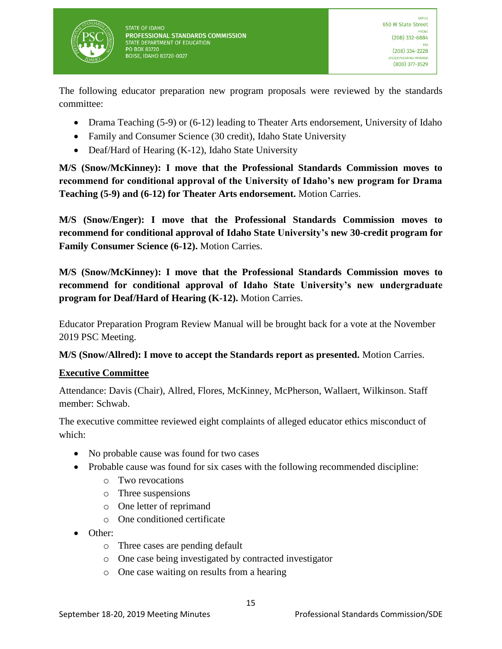

The following educator preparation new program proposals were reviewed by the standards committee:

- Drama Teaching (5-9) or (6-12) leading to Theater Arts endorsement, University of Idaho
- Family and Consumer Science (30 credit), Idaho State University
- Deaf/Hard of Hearing (K-12), Idaho State University

**M/S (Snow/McKinney): I move that the Professional Standards Commission moves to recommend for conditional approval of the University of Idaho's new program for Drama Teaching (5-9) and (6-12) for Theater Arts endorsement.** Motion Carries.

**M/S (Snow/Enger): I move that the Professional Standards Commission moves to recommend for conditional approval of Idaho State University's new 30-credit program for Family Consumer Science (6-12).** Motion Carries.

**M/S (Snow/McKinney): I move that the Professional Standards Commission moves to recommend for conditional approval of Idaho State University's new undergraduate program for Deaf/Hard of Hearing (K-12).** Motion Carries.

Educator Preparation Program Review Manual will be brought back for a vote at the November 2019 PSC Meeting.

**M/S (Snow/Allred): I move to accept the Standards report as presented.** Motion Carries.

# **Executive Committee**

Attendance: Davis (Chair), Allred, Flores, McKinney, McPherson, Wallaert, Wilkinson. Staff member: Schwab.

The executive committee reviewed eight complaints of alleged educator ethics misconduct of which:

- No probable cause was found for two cases
- Probable cause was found for six cases with the following recommended discipline:
	- o Two revocations
	- o Three suspensions
	- o One letter of reprimand
	- o One conditioned certificate
- Other:
	- o Three cases are pending default
	- o One case being investigated by contracted investigator
	- o One case waiting on results from a hearing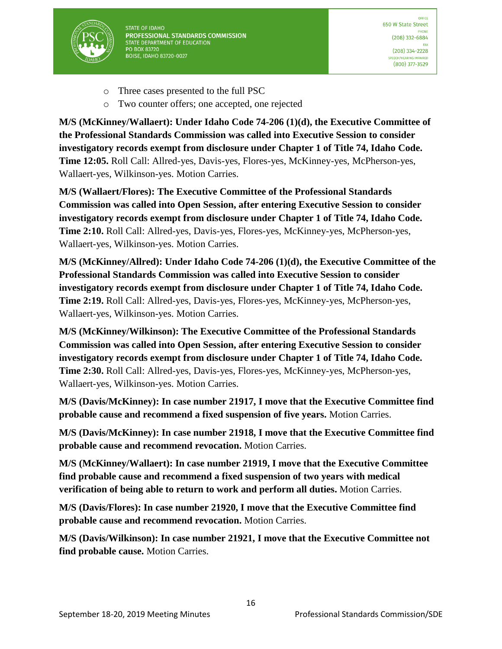

- o Three cases presented to the full PSC
- o Two counter offers; one accepted, one rejected

**M/S (McKinney/Wallaert): Under Idaho Code 74-206 (1)(d), the Executive Committee of the Professional Standards Commission was called into Executive Session to consider investigatory records exempt from disclosure under Chapter 1 of Title 74, Idaho Code. Time 12:05.** Roll Call: Allred-yes, Davis-yes, Flores-yes, McKinney-yes, McPherson-yes, Wallaert-yes, Wilkinson-yes. Motion Carries.

**M/S (Wallaert/Flores): The Executive Committee of the Professional Standards Commission was called into Open Session, after entering Executive Session to consider investigatory records exempt from disclosure under Chapter 1 of Title 74, Idaho Code. Time 2:10.** Roll Call: Allred-yes, Davis-yes, Flores-yes, McKinney-yes, McPherson-yes, Wallaert-yes, Wilkinson-yes. Motion Carries.

**M/S (McKinney/Allred): Under Idaho Code 74-206 (1)(d), the Executive Committee of the Professional Standards Commission was called into Executive Session to consider investigatory records exempt from disclosure under Chapter 1 of Title 74, Idaho Code. Time 2:19.** Roll Call: Allred-yes, Davis-yes, Flores-yes, McKinney-yes, McPherson-yes, Wallaert-yes, Wilkinson-yes. Motion Carries.

**M/S (McKinney/Wilkinson): The Executive Committee of the Professional Standards Commission was called into Open Session, after entering Executive Session to consider investigatory records exempt from disclosure under Chapter 1 of Title 74, Idaho Code. Time 2:30.** Roll Call: Allred-yes, Davis-yes, Flores-yes, McKinney-yes, McPherson-yes, Wallaert-yes, Wilkinson-yes. Motion Carries.

**M/S (Davis/McKinney): In case number 21917, I move that the Executive Committee find probable cause and recommend a fixed suspension of five years.** Motion Carries.

**M/S (Davis/McKinney): In case number 21918, I move that the Executive Committee find probable cause and recommend revocation.** Motion Carries.

**M/S (McKinney/Wallaert): In case number 21919, I move that the Executive Committee find probable cause and recommend a fixed suspension of two years with medical verification of being able to return to work and perform all duties.** Motion Carries.

**M/S (Davis/Flores): In case number 21920, I move that the Executive Committee find probable cause and recommend revocation.** Motion Carries.

**M/S (Davis/Wilkinson): In case number 21921, I move that the Executive Committee not find probable cause.** Motion Carries.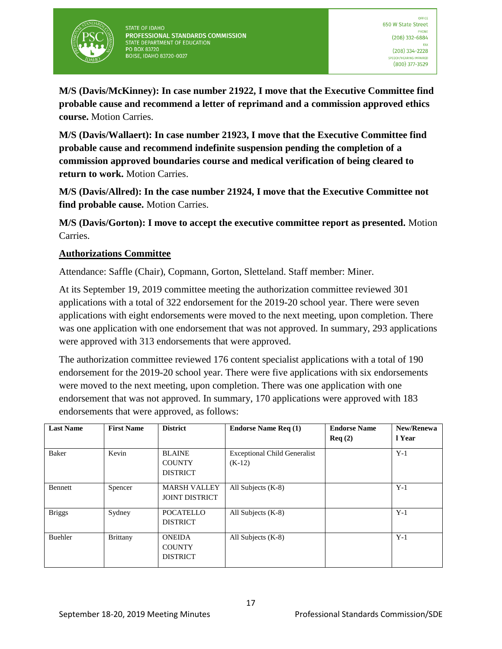

**M/S (Davis/McKinney): In case number 21922, I move that the Executive Committee find probable cause and recommend a letter of reprimand and a commission approved ethics course.** Motion Carries.

**M/S (Davis/Wallaert): In case number 21923, I move that the Executive Committee find probable cause and recommend indefinite suspension pending the completion of a commission approved boundaries course and medical verification of being cleared to return to work.** Motion Carries.

**M/S (Davis/Allred): In the case number 21924, I move that the Executive Committee not find probable cause.** Motion Carries.

**M/S (Davis/Gorton): I move to accept the executive committee report as presented.** Motion Carries.

### **Authorizations Committee**

Attendance: Saffle (Chair), Copmann, Gorton, Sletteland. Staff member: Miner.

At its September 19, 2019 committee meeting the authorization committee reviewed 301 applications with a total of 322 endorsement for the 2019-20 school year. There were seven applications with eight endorsements were moved to the next meeting, upon completion. There was one application with one endorsement that was not approved. In summary, 293 applications were approved with 313 endorsements that were approved.

The authorization committee reviewed 176 content specialist applications with a total of 190 endorsement for the 2019-20 school year. There were five applications with six endorsements were moved to the next meeting, upon completion. There was one application with one endorsement that was not approved. In summary, 170 applications were approved with 183 endorsements that were approved, as follows:

| <b>Last Name</b> | <b>First Name</b> | <b>District</b>                                   | <b>Endorse Name Req (1)</b>                     | <b>Endorse Name</b><br>Req(2) | New/Renewa<br>l Year |
|------------------|-------------------|---------------------------------------------------|-------------------------------------------------|-------------------------------|----------------------|
| Baker            | Kevin             | <b>BLAINE</b><br><b>COUNTY</b><br><b>DISTRICT</b> | <b>Exceptional Child Generalist</b><br>$(K-12)$ |                               | $Y-1$                |
| Bennett          | Spencer           | <b>MARSH VALLEY</b><br>JOINT DISTRICT             | All Subjects (K-8)                              |                               | $Y-1$                |
| <b>Briggs</b>    | Sydney            | <b>POCATELLO</b><br><b>DISTRICT</b>               | All Subjects (K-8)                              |                               | $Y-1$                |
| Buehler          | <b>Brittany</b>   | <b>ONEIDA</b><br><b>COUNTY</b><br><b>DISTRICT</b> | All Subjects (K-8)                              |                               | $Y-1$                |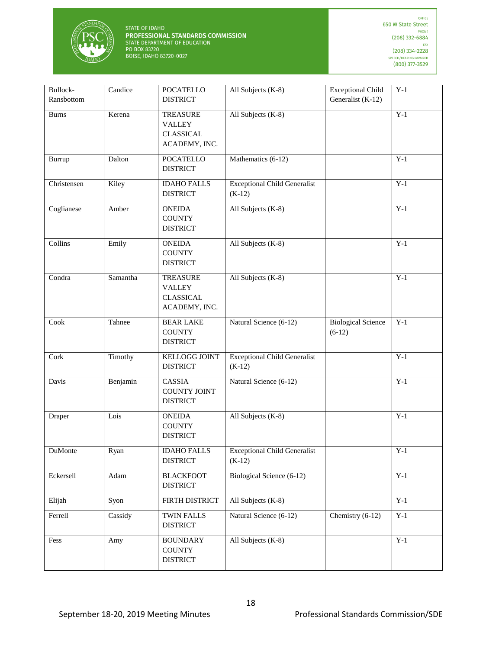

| Bullock-<br>Ransbottom | Candice  | <b>POCATELLO</b><br><b>DISTRICT</b>                                   | All Subjects (K-8)                              | <b>Exceptional Child</b><br>Generalist (K-12) | $Y-1$ |
|------------------------|----------|-----------------------------------------------------------------------|-------------------------------------------------|-----------------------------------------------|-------|
| <b>Burns</b>           | Kerena   | <b>TREASURE</b><br><b>VALLEY</b><br><b>CLASSICAL</b><br>ACADEMY, INC. | All Subjects (K-8)                              |                                               | $Y-1$ |
| Burrup                 | Dalton   | <b>POCATELLO</b><br><b>DISTRICT</b>                                   | Mathematics (6-12)                              |                                               | $Y-1$ |
| Christensen            | Kiley    | <b>IDAHO FALLS</b><br><b>DISTRICT</b>                                 | <b>Exceptional Child Generalist</b><br>$(K-12)$ |                                               | $Y-1$ |
| Coglianese             | Amber    | <b>ONEIDA</b><br><b>COUNTY</b><br><b>DISTRICT</b>                     | All Subjects (K-8)                              |                                               | $Y-1$ |
| Collins                | Emily    | <b>ONEIDA</b><br><b>COUNTY</b><br><b>DISTRICT</b>                     | All Subjects (K-8)                              |                                               | $Y-1$ |
| Condra                 | Samantha | <b>TREASURE</b><br><b>VALLEY</b><br><b>CLASSICAL</b><br>ACADEMY, INC. | All Subjects (K-8)                              |                                               | $Y-1$ |
| Cook                   | Tahnee   | <b>BEAR LAKE</b><br><b>COUNTY</b><br><b>DISTRICT</b>                  | Natural Science (6-12)                          | <b>Biological Science</b><br>$(6-12)$         | $Y-1$ |
| Cork                   | Timothy  | <b>KELLOGG JOINT</b><br><b>DISTRICT</b>                               | <b>Exceptional Child Generalist</b><br>$(K-12)$ |                                               | $Y-1$ |
| Davis                  | Benjamin | CASSIA<br><b>COUNTY JOINT</b><br><b>DISTRICT</b>                      | Natural Science (6-12)                          |                                               | $Y-1$ |
| Draper                 | Lois     | <b>ONEIDA</b><br><b>COUNTY</b><br><b>DISTRICT</b>                     | All Subjects (K-8)                              |                                               | $Y-1$ |
| DuMonte                | Ryan     | <b>IDAHO FALLS</b><br><b>DISTRICT</b>                                 | <b>Exceptional Child Generalist</b><br>$(K-12)$ |                                               | $Y-1$ |
| Eckersell              | Adam     | <b>BLACKFOOT</b><br><b>DISTRICT</b>                                   | Biological Science (6-12)                       |                                               | $Y-1$ |
| Elijah                 | Syon     | FIRTH DISTRICT                                                        | All Subjects (K-8)                              |                                               | $Y-1$ |
| Ferrell                | Cassidy  | <b>TWIN FALLS</b><br><b>DISTRICT</b>                                  | Natural Science (6-12)                          | Chemistry (6-12)                              | $Y-1$ |
| Fess                   | Amy      | <b>BOUNDARY</b><br><b>COUNTY</b><br><b>DISTRICT</b>                   | All Subjects (K-8)                              |                                               | $Y-1$ |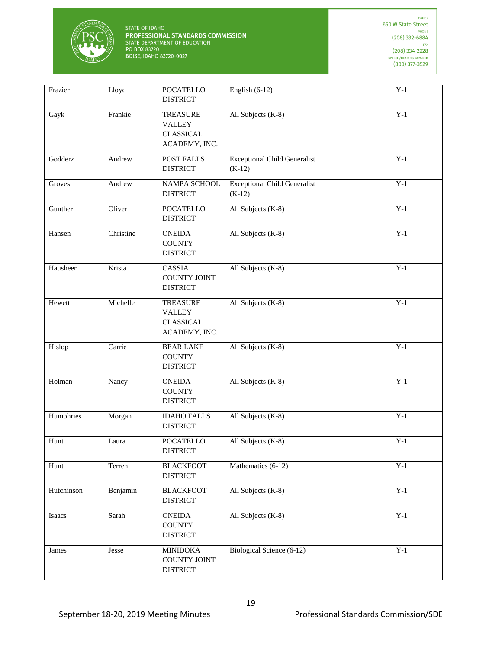

| Frazier    | Lloyd     | <b>POCATELLO</b><br><b>DISTRICT</b>                                   | English $(6-12)$                                | $Y-1$            |
|------------|-----------|-----------------------------------------------------------------------|-------------------------------------------------|------------------|
| Gayk       | Frankie   | <b>TREASURE</b><br><b>VALLEY</b><br><b>CLASSICAL</b><br>ACADEMY, INC. | All Subjects (K-8)                              | $Y-1$            |
| Godderz    | Andrew    | POST FALLS<br><b>DISTRICT</b>                                         | <b>Exceptional Child Generalist</b><br>$(K-12)$ | $Y-1$            |
| Groves     | Andrew    | NAMPA SCHOOL<br><b>DISTRICT</b>                                       | <b>Exceptional Child Generalist</b><br>$(K-12)$ | $Y-1$            |
| Gunther    | Oliver    | <b>POCATELLO</b><br><b>DISTRICT</b>                                   | All Subjects (K-8)                              | $Y-1$            |
| Hansen     | Christine | <b>ONEIDA</b><br><b>COUNTY</b><br><b>DISTRICT</b>                     | All Subjects (K-8)                              | $Y-1$            |
| Hausheer   | Krista    | CASSIA<br><b>COUNTY JOINT</b><br><b>DISTRICT</b>                      | All Subjects (K-8)                              | $Y-1$            |
| Hewett     | Michelle  | <b>TREASURE</b><br><b>VALLEY</b><br><b>CLASSICAL</b><br>ACADEMY, INC. | All Subjects (K-8)                              | $Y-1$            |
| Hislop     | Carrie    | <b>BEAR LAKE</b><br><b>COUNTY</b><br><b>DISTRICT</b>                  | All Subjects (K-8)                              | $Y-1$            |
| Holman     | Nancy     | <b>ONEIDA</b><br><b>COUNTY</b><br><b>DISTRICT</b>                     | All Subjects (K-8)                              | $Y-1$            |
| Humphries  | Morgan    | <b>IDAHO FALLS</b><br><b>DISTRICT</b>                                 | All Subjects (K-8)                              | $Y-1$            |
| Hunt       | Laura     | <b>POCATELLO</b><br><b>DISTRICT</b>                                   | All Subjects (K-8)                              | $\overline{Y-1}$ |
| Hunt       | Terren    | <b>BLACKFOOT</b><br><b>DISTRICT</b>                                   | Mathematics (6-12)                              | $Y-1$            |
| Hutchinson | Benjamin  | <b>BLACKFOOT</b><br><b>DISTRICT</b>                                   | All Subjects (K-8)                              | $Y-1$            |
| Isaacs     | Sarah     | <b>ONEIDA</b><br><b>COUNTY</b><br><b>DISTRICT</b>                     | All Subjects (K-8)                              | $Y-1$            |
| James      | Jesse     | <b>MINIDOKA</b><br><b>COUNTY JOINT</b><br><b>DISTRICT</b>             | Biological Science (6-12)                       | $Y-1$            |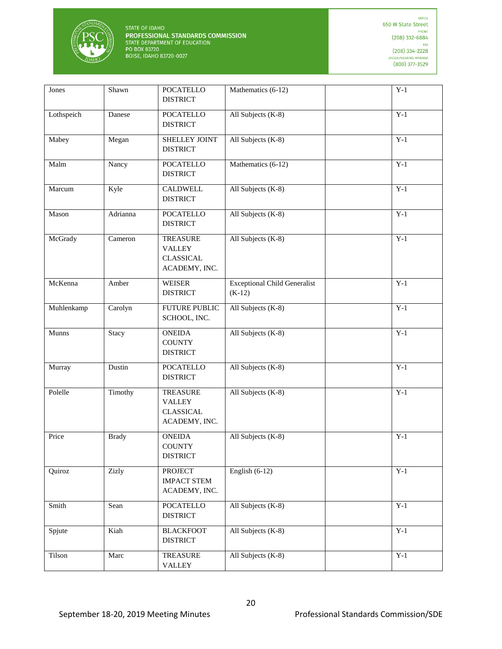

| Jones      | Shawn        | <b>POCATELLO</b><br><b>DISTRICT</b>                                   | Mathematics (6-12)                              | $Y-1$            |
|------------|--------------|-----------------------------------------------------------------------|-------------------------------------------------|------------------|
| Lothspeich | Danese       | <b>POCATELLO</b><br><b>DISTRICT</b>                                   | All Subjects (K-8)                              | $Y-1$            |
| Mabey      | Megan        | <b>SHELLEY JOINT</b><br><b>DISTRICT</b>                               | All Subjects (K-8)                              | $Y-1$            |
| Malm       | Nancy        | <b>POCATELLO</b><br><b>DISTRICT</b>                                   | Mathematics (6-12)                              | $Y-1$            |
| Marcum     | Kyle         | <b>CALDWELL</b><br><b>DISTRICT</b>                                    | All Subjects (K-8)                              | $Y-1$            |
| Mason      | Adrianna     | <b>POCATELLO</b><br><b>DISTRICT</b>                                   | All Subjects (K-8)                              | $Y-1$            |
| McGrady    | Cameron      | <b>TREASURE</b><br><b>VALLEY</b><br><b>CLASSICAL</b><br>ACADEMY, INC. | All Subjects (K-8)                              | $Y-1$            |
| McKenna    | Amber        | <b>WEISER</b><br><b>DISTRICT</b>                                      | <b>Exceptional Child Generalist</b><br>$(K-12)$ | $Y-1$            |
| Muhlenkamp | Carolyn      | <b>FUTURE PUBLIC</b><br>SCHOOL, INC.                                  | All Subjects (K-8)                              | $Y-1$            |
| Munns      | Stacy        | <b>ONEIDA</b><br><b>COUNTY</b><br><b>DISTRICT</b>                     | All Subjects (K-8)                              | $Y-1$            |
| Murray     | Dustin       | <b>POCATELLO</b><br><b>DISTRICT</b>                                   | All Subjects (K-8)                              | $\overline{Y-1}$ |
| Polelle    | Timothy      | <b>TREASURE</b><br><b>VALLEY</b><br><b>CLASSICAL</b><br>ACADEMY, INC. | All Subjects (K-8)                              | $Y-1$            |
| Price      | <b>Brady</b> | <b>ONEIDA</b><br><b>COUNTY</b><br><b>DISTRICT</b>                     | All Subjects (K-8)                              | $Y-1$            |
| Quiroz     | Zizly        | <b>PROJECT</b><br><b>IMPACT STEM</b><br>ACADEMY, INC.                 | English $(6-12)$                                | $Y-1$            |
| Smith      | Sean         | <b>POCATELLO</b><br><b>DISTRICT</b>                                   | All Subjects (K-8)                              | $Y-1$            |
| Spjute     | Kiah         | <b>BLACKFOOT</b><br><b>DISTRICT</b>                                   | All Subjects (K-8)                              | $Y-1$            |
| Tilson     | Marc         | <b>TREASURE</b><br><b>VALLEY</b>                                      | All Subjects (K-8)                              | $Y-1$            |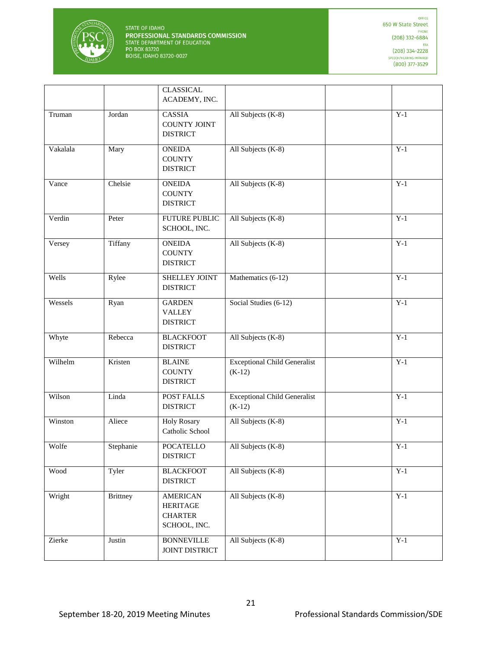

|          |                 | <b>CLASSICAL</b><br>ACADEMY, INC.                                    |                                                 |       |
|----------|-----------------|----------------------------------------------------------------------|-------------------------------------------------|-------|
| Truman   | Jordan          | CASSIA<br><b>COUNTY JOINT</b><br><b>DISTRICT</b>                     | All Subjects (K-8)                              | $Y-1$ |
| Vakalala | Mary            | <b>ONEIDA</b><br><b>COUNTY</b><br><b>DISTRICT</b>                    | All Subjects (K-8)                              | $Y-1$ |
| Vance    | Chelsie         | <b>ONEIDA</b><br><b>COUNTY</b><br><b>DISTRICT</b>                    | All Subjects (K-8)                              | $Y-1$ |
| Verdin   | Peter           | <b>FUTURE PUBLIC</b><br>SCHOOL, INC.                                 | All Subjects (K-8)                              | $Y-1$ |
| Versey   | Tiffany         | <b>ONEIDA</b><br><b>COUNTY</b><br><b>DISTRICT</b>                    | All Subjects (K-8)                              | $Y-1$ |
| Wells    | Rylee           | SHELLEY JOINT<br><b>DISTRICT</b>                                     | Mathematics (6-12)                              | $Y-1$ |
| Wessels  | Ryan            | <b>GARDEN</b><br><b>VALLEY</b><br><b>DISTRICT</b>                    | Social Studies (6-12)                           | $Y-1$ |
| Whyte    | Rebecca         | <b>BLACKFOOT</b><br><b>DISTRICT</b>                                  | All Subjects (K-8)                              | $Y-1$ |
| Wilhelm  | Kristen         | <b>BLAINE</b><br><b>COUNTY</b><br><b>DISTRICT</b>                    | <b>Exceptional Child Generalist</b><br>$(K-12)$ | $Y-1$ |
| Wilson   | Linda           | POST FALLS<br><b>DISTRICT</b>                                        | <b>Exceptional Child Generalist</b><br>$(K-12)$ | $Y-1$ |
| Winston  | Aliece          | <b>Holy Rosary</b><br>Catholic School                                | All Subjects (K-8)                              | $Y-1$ |
| Wolfe    | Stephanie       | <b>POCATELLO</b><br><b>DISTRICT</b>                                  | All Subjects (K-8)                              | $Y-1$ |
| Wood     | Tyler           | <b>BLACKFOOT</b><br><b>DISTRICT</b>                                  | All Subjects (K-8)                              | $Y-1$ |
| Wright   | <b>Brittney</b> | <b>AMERICAN</b><br><b>HERITAGE</b><br><b>CHARTER</b><br>SCHOOL, INC. | All Subjects (K-8)                              | $Y-1$ |
| Zierke   | Justin          | <b>BONNEVILLE</b><br>JOINT DISTRICT                                  | All Subjects (K-8)                              | $Y-1$ |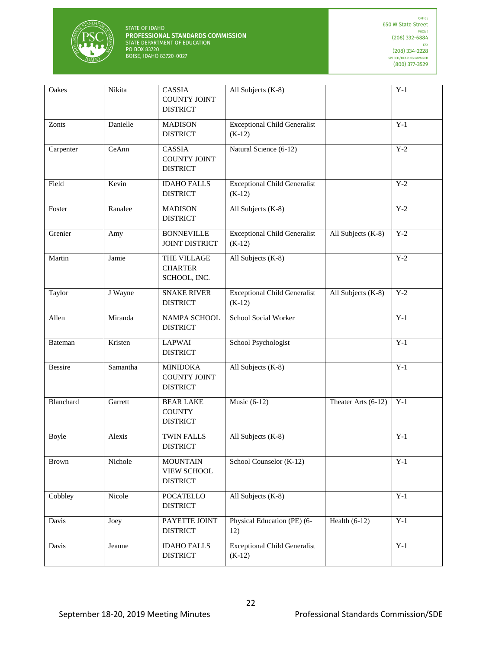

| Oakes          | Nikita   | <b>CASSIA</b><br><b>COUNTY JOINT</b><br><b>DISTRICT</b>   | All Subjects (K-8)                              |                     | $Y-1$ |
|----------------|----------|-----------------------------------------------------------|-------------------------------------------------|---------------------|-------|
| Zonts          | Danielle | <b>MADISON</b><br><b>DISTRICT</b>                         | <b>Exceptional Child Generalist</b><br>$(K-12)$ |                     | $Y-1$ |
| Carpenter      | CeAnn    | CASSIA<br><b>COUNTY JOINT</b><br><b>DISTRICT</b>          | Natural Science (6-12)                          |                     | $Y-2$ |
| Field          | Kevin    | <b>IDAHO FALLS</b><br><b>DISTRICT</b>                     | <b>Exceptional Child Generalist</b><br>$(K-12)$ |                     | $Y-2$ |
| Foster         | Ranalee  | <b>MADISON</b><br><b>DISTRICT</b>                         | All Subjects (K-8)                              |                     | $Y-2$ |
| Grenier        | Amy      | <b>BONNEVILLE</b><br>JOINT DISTRICT                       | <b>Exceptional Child Generalist</b><br>$(K-12)$ | All Subjects (K-8)  | $Y-2$ |
| Martin         | Jamie    | THE VILLAGE<br><b>CHARTER</b><br>SCHOOL, INC.             | All Subjects (K-8)                              |                     | $Y-2$ |
| Taylor         | J Wayne  | <b>SNAKE RIVER</b><br><b>DISTRICT</b>                     | <b>Exceptional Child Generalist</b><br>$(K-12)$ | All Subjects (K-8)  | $Y-2$ |
| Allen          | Miranda  | NAMPA SCHOOL<br><b>DISTRICT</b>                           | School Social Worker                            |                     | $Y-1$ |
| Bateman        | Kristen  | <b>LAPWAI</b><br><b>DISTRICT</b>                          | School Psychologist                             |                     | $Y-1$ |
| <b>Bessire</b> | Samantha | <b>MINIDOKA</b><br><b>COUNTY JOINT</b><br><b>DISTRICT</b> | All Subjects (K-8)                              |                     | $Y-1$ |
| Blanchard      | Garrett  | <b>BEAR LAKE</b><br><b>COUNTY</b><br><b>DISTRICT</b>      | Music $(6-12)$                                  | Theater Arts (6-12) | $Y-1$ |
| Boyle          | Alexis   | <b>TWIN FALLS</b><br><b>DISTRICT</b>                      | All Subjects (K-8)                              |                     | $Y-1$ |
| <b>Brown</b>   | Nichole  | <b>MOUNTAIN</b><br><b>VIEW SCHOOL</b><br><b>DISTRICT</b>  | School Counselor (K-12)                         |                     | $Y-1$ |
| Cobbley        | Nicole   | <b>POCATELLO</b><br><b>DISTRICT</b>                       | All Subjects (K-8)                              |                     | $Y-1$ |
| Davis          | Joey     | PAYETTE JOINT<br><b>DISTRICT</b>                          | Physical Education (PE) (6-<br>12)              | Health $(6-12)$     | $Y-1$ |
| Davis          | Jeanne   | <b>IDAHO FALLS</b><br><b>DISTRICT</b>                     | <b>Exceptional Child Generalist</b><br>$(K-12)$ |                     | $Y-1$ |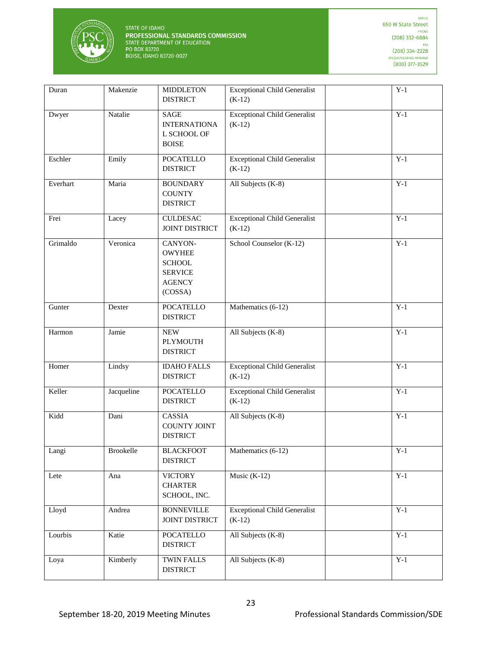

| Duran    | Makenzie         | <b>MIDDLETON</b><br><b>DISTRICT</b>                                                     | <b>Exceptional Child Generalist</b><br>$(K-12)$ | $Y-1$ |
|----------|------------------|-----------------------------------------------------------------------------------------|-------------------------------------------------|-------|
| Dwyer    | Natalie          | <b>SAGE</b><br><b>INTERNATIONA</b><br>L SCHOOL OF<br><b>BOISE</b>                       | <b>Exceptional Child Generalist</b><br>$(K-12)$ | $Y-1$ |
| Eschler  | Emily            | <b>POCATELLO</b><br><b>DISTRICT</b>                                                     | <b>Exceptional Child Generalist</b><br>$(K-12)$ | $Y-1$ |
| Everhart | Maria            | <b>BOUNDARY</b><br><b>COUNTY</b><br><b>DISTRICT</b>                                     | All Subjects (K-8)                              | $Y-1$ |
| Frei     | Lacey            | <b>CULDESAC</b><br>JOINT DISTRICT                                                       | <b>Exceptional Child Generalist</b><br>$(K-12)$ | $Y-1$ |
| Grimaldo | Veronica         | CANYON-<br><b>OWYHEE</b><br><b>SCHOOL</b><br><b>SERVICE</b><br><b>AGENCY</b><br>(COSSA) | School Counselor (K-12)                         | $Y-1$ |
| Gunter   | Dexter           | <b>POCATELLO</b><br><b>DISTRICT</b>                                                     | Mathematics (6-12)                              | $Y-1$ |
| Harmon   | Jamie            | ${\rm NEW}$<br><b>PLYMOUTH</b><br><b>DISTRICT</b>                                       | All Subjects (K-8)                              | $Y-1$ |
| Homer    | Lindsy           | <b>IDAHO FALLS</b><br><b>DISTRICT</b>                                                   | <b>Exceptional Child Generalist</b><br>$(K-12)$ | $Y-1$ |
| Keller   | Jacqueline       | <b>POCATELLO</b><br><b>DISTRICT</b>                                                     | <b>Exceptional Child Generalist</b><br>$(K-12)$ | $Y-1$ |
| Kidd     | Dani             | <b>CASSIA</b><br><b>COUNTY JOINT</b><br><b>DISTRICT</b>                                 | All Subjects (K-8)                              | $Y-1$ |
| Langi    | <b>Brookelle</b> | <b>BLACKFOOT</b><br><b>DISTRICT</b>                                                     | Mathematics (6-12)                              | $Y-1$ |
| Lete     | Ana              | <b>VICTORY</b><br><b>CHARTER</b><br>SCHOOL, INC.                                        | Music $(K-12)$                                  | $Y-1$ |
| Lloyd    | Andrea           | <b>BONNEVILLE</b><br>JOINT DISTRICT                                                     | <b>Exceptional Child Generalist</b><br>$(K-12)$ | $Y-1$ |
| Lourbis  | Katie            | <b>POCATELLO</b><br><b>DISTRICT</b>                                                     | All Subjects (K-8)                              | $Y-1$ |
| Loya     | Kimberly         | <b>TWIN FALLS</b><br><b>DISTRICT</b>                                                    | All Subjects (K-8)                              | $Y-1$ |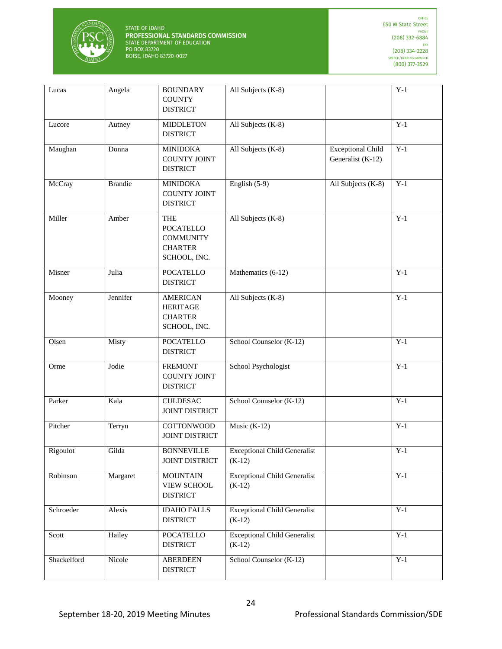

| Lucas       | Angela         | <b>BOUNDARY</b><br><b>COUNTY</b><br><b>DISTRICT</b>                                  | All Subjects (K-8)                              |                                               | $Y-1$ |
|-------------|----------------|--------------------------------------------------------------------------------------|-------------------------------------------------|-----------------------------------------------|-------|
| Lucore      | Autney         | <b>MIDDLETON</b><br><b>DISTRICT</b>                                                  | All Subjects (K-8)                              |                                               | $Y-1$ |
| Maughan     | Donna          | <b>MINIDOKA</b><br><b>COUNTY JOINT</b><br><b>DISTRICT</b>                            | All Subjects (K-8)                              | <b>Exceptional Child</b><br>Generalist (K-12) | $Y-1$ |
| McCray      | <b>Brandie</b> | <b>MINIDOKA</b><br><b>COUNTY JOINT</b><br><b>DISTRICT</b>                            | English $(5-9)$                                 | All Subjects (K-8)                            | $Y-1$ |
| Miller      | Amber          | <b>THE</b><br><b>POCATELLO</b><br><b>COMMUNITY</b><br><b>CHARTER</b><br>SCHOOL, INC. | All Subjects (K-8)                              |                                               | $Y-1$ |
| Misner      | Julia          | <b>POCATELLO</b><br><b>DISTRICT</b>                                                  | Mathematics (6-12)                              |                                               | $Y-1$ |
| Mooney      | Jennifer       | <b>AMERICAN</b><br><b>HERITAGE</b><br><b>CHARTER</b><br>SCHOOL, INC.                 | All Subjects (K-8)                              |                                               | $Y-1$ |
| Olsen       | Misty          | <b>POCATELLO</b><br><b>DISTRICT</b>                                                  | School Counselor (K-12)                         |                                               | $Y-1$ |
| Orme        | Jodie          | <b>FREMONT</b><br><b>COUNTY JOINT</b><br><b>DISTRICT</b>                             | School Psychologist                             |                                               | $Y-1$ |
| Parker      | Kala           | <b>CULDESAC</b><br><b>JOINT DISTRICT</b>                                             | School Counselor (K-12)                         |                                               | $Y-1$ |
| Pitcher     | Terryn         | <b>COTTONWOOD</b><br>JOINT DISTRICT                                                  | Music $(K-12)$                                  |                                               | $Y-1$ |
| Rigoulot    | Gilda          | <b>BONNEVILLE</b><br>JOINT DISTRICT                                                  | <b>Exceptional Child Generalist</b><br>$(K-12)$ |                                               | $Y-1$ |
| Robinson    | Margaret       | <b>MOUNTAIN</b><br>VIEW SCHOOL<br><b>DISTRICT</b>                                    | <b>Exceptional Child Generalist</b><br>$(K-12)$ |                                               | $Y-1$ |
| Schroeder   | Alexis         | <b>IDAHO FALLS</b><br><b>DISTRICT</b>                                                | <b>Exceptional Child Generalist</b><br>$(K-12)$ |                                               | $Y-1$ |
| Scott       | Hailey         | <b>POCATELLO</b><br><b>DISTRICT</b>                                                  | <b>Exceptional Child Generalist</b><br>$(K-12)$ |                                               | $Y-1$ |
| Shackelford | Nicole         | ABERDEEN<br><b>DISTRICT</b>                                                          | School Counselor (K-12)                         |                                               | $Y-1$ |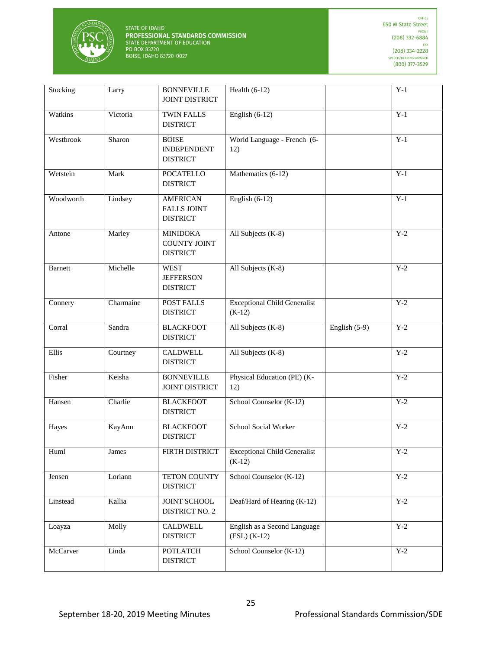

| Larry     | <b>BONNEVILLE</b><br><b>JOINT DISTRICT</b>                | Health $(6-12)$                                 |                 | $Y-1$ |
|-----------|-----------------------------------------------------------|-------------------------------------------------|-----------------|-------|
| Victoria  | <b>TWIN FALLS</b><br><b>DISTRICT</b>                      | English $(6-12)$                                |                 | $Y-1$ |
| Sharon    | <b>BOISE</b><br><b>INDEPENDENT</b><br><b>DISTRICT</b>     | World Language - French (6-<br>12)              |                 | $Y-1$ |
| Mark      | <b>POCATELLO</b><br><b>DISTRICT</b>                       | Mathematics (6-12)                              |                 | $Y-1$ |
| Lindsey   | <b>AMERICAN</b><br><b>FALLS JOINT</b><br><b>DISTRICT</b>  | English $(6-12)$                                |                 | $Y-1$ |
| Marley    | <b>MINIDOKA</b><br><b>COUNTY JOINT</b><br><b>DISTRICT</b> | All Subjects (K-8)                              |                 | $Y-2$ |
| Michelle  | <b>WEST</b><br><b>JEFFERSON</b><br><b>DISTRICT</b>        | All Subjects (K-8)                              |                 | $Y-2$ |
| Charmaine | POST FALLS<br><b>DISTRICT</b>                             | <b>Exceptional Child Generalist</b><br>$(K-12)$ |                 | $Y-2$ |
| Sandra    | <b>BLACKFOOT</b><br><b>DISTRICT</b>                       | All Subjects (K-8)                              | English $(5-9)$ | $Y-2$ |
| Courtney  | CALDWELL<br><b>DISTRICT</b>                               | All Subjects (K-8)                              |                 | $Y-2$ |
| Keisha    | <b>BONNEVILLE</b><br>JOINT DISTRICT                       | Physical Education (PE) (K-<br>12)              |                 | $Y-2$ |
| Charlie   | <b>BLACKFOOT</b><br><b>DISTRICT</b>                       | School Counselor (K-12)                         |                 | $Y-2$ |
| KayAnn    | <b>BLACKFOOT</b><br><b>DISTRICT</b>                       | School Social Worker                            |                 | $Y-2$ |
| James     | FIRTH DISTRICT                                            | <b>Exceptional Child Generalist</b><br>$(K-12)$ |                 | $Y-2$ |
| Loriann   | TETON COUNTY<br><b>DISTRICT</b>                           | School Counselor $(K-12)$                       |                 | $Y-2$ |
| Kallia    | JOINT SCHOOL<br>DISTRICT NO. 2                            | Deaf/Hard of Hearing (K-12)                     |                 | $Y-2$ |
| Molly     | <b>CALDWELL</b><br><b>DISTRICT</b>                        | English as a Second Language<br>$(ESL) (K-12)$  |                 | $Y-2$ |
| Linda     | <b>POTLATCH</b><br><b>DISTRICT</b>                        | School Counselor (K-12)                         |                 | $Y-2$ |
|           |                                                           |                                                 |                 |       |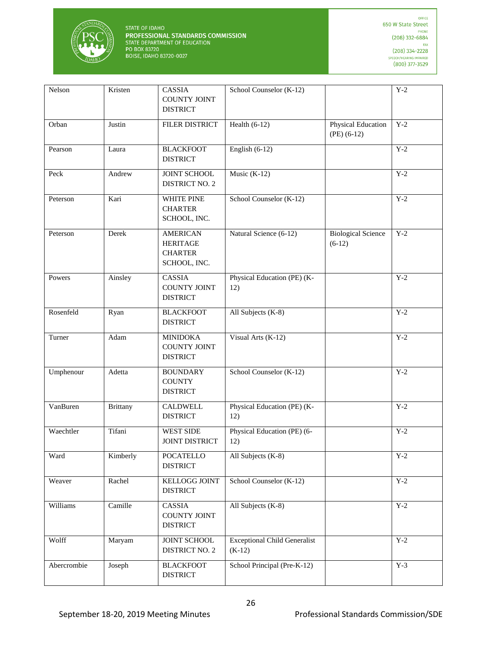

| Nelson      | Kristen         | CASSIA<br><b>COUNTY JOINT</b><br><b>DISTRICT</b>                     | School Counselor (K-12)                         |                                            | $Y-2$ |
|-------------|-----------------|----------------------------------------------------------------------|-------------------------------------------------|--------------------------------------------|-------|
| Orban       | Justin          | FILER DISTRICT                                                       | Health $(6-12)$                                 | <b>Physical Education</b><br>$(PE)$ (6-12) | $Y-2$ |
| Pearson     | Laura           | <b>BLACKFOOT</b><br><b>DISTRICT</b>                                  | English $(6-12)$                                |                                            | $Y-2$ |
| Peck        | Andrew          | JOINT SCHOOL<br><b>DISTRICT NO. 2</b>                                | Music $(K-12)$                                  |                                            | $Y-2$ |
| Peterson    | Kari            | WHITE PINE<br><b>CHARTER</b><br>SCHOOL, INC.                         | School Counselor (K-12)                         |                                            | $Y-2$ |
| Peterson    | Derek           | <b>AMERICAN</b><br><b>HERITAGE</b><br><b>CHARTER</b><br>SCHOOL, INC. | Natural Science (6-12)                          | <b>Biological Science</b><br>$(6-12)$      | $Y-2$ |
| Powers      | Ainsley         | CASSIA<br><b>COUNTY JOINT</b><br><b>DISTRICT</b>                     | Physical Education (PE) (K-<br>12)              |                                            | $Y-2$ |
| Rosenfeld   | Ryan            | <b>BLACKFOOT</b><br><b>DISTRICT</b>                                  | All Subjects (K-8)                              |                                            | $Y-2$ |
| Turner      | Adam            | <b>MINIDOKA</b><br><b>COUNTY JOINT</b><br><b>DISTRICT</b>            | Visual Arts (K-12)                              |                                            | $Y-2$ |
| Umphenour   | Adetta          | <b>BOUNDARY</b><br><b>COUNTY</b><br><b>DISTRICT</b>                  | School Counselor (K-12)                         |                                            | $Y-2$ |
| VanBuren    | <b>Brittany</b> | <b>CALDWELL</b><br><b>DISTRICT</b>                                   | Physical Education (PE) (K-<br>12)              |                                            | $Y-2$ |
| Waechtler   | Tifani          | WEST SIDE<br>JOINT DISTRICT                                          | Physical Education (PE) (6-<br>12)              |                                            | $Y-2$ |
| Ward        | Kimberly        | <b>POCATELLO</b><br><b>DISTRICT</b>                                  | All Subjects (K-8)                              |                                            | $Y-2$ |
| Weaver      | Rachel          | KELLOGG JOINT<br><b>DISTRICT</b>                                     | School Counselor (K-12)                         |                                            | $Y-2$ |
| Williams    | Camille         | <b>CASSIA</b><br><b>COUNTY JOINT</b><br><b>DISTRICT</b>              | All Subjects (K-8)                              |                                            | $Y-2$ |
| Wolff       | Maryam          | JOINT SCHOOL<br>DISTRICT NO. 2                                       | <b>Exceptional Child Generalist</b><br>$(K-12)$ |                                            | $Y-2$ |
| Abercrombie | Joseph          | <b>BLACKFOOT</b><br><b>DISTRICT</b>                                  | School Principal (Pre-K-12)                     |                                            | $Y-3$ |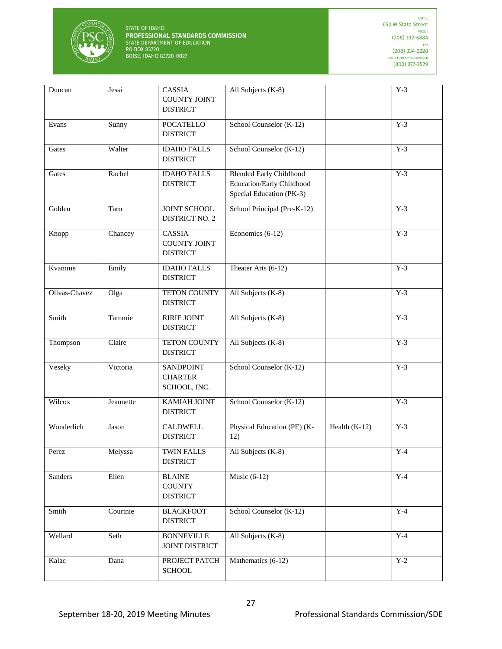

| Duncan        | Jessi     | CASSIA<br><b>COUNTY JOINT</b><br><b>DISTRICT</b>   | All Subjects (K-8)                                                                      |                 | $Y-3$            |
|---------------|-----------|----------------------------------------------------|-----------------------------------------------------------------------------------------|-----------------|------------------|
| Evans         | Sunny     | <b>POCATELLO</b><br><b>DISTRICT</b>                | School Counselor (K-12)                                                                 |                 | $Y-3$            |
| Gates         | Walter    | <b>IDAHO FALLS</b><br><b>DISTRICT</b>              | School Counselor (K-12)                                                                 |                 | $\overline{Y-3}$ |
| Gates         | Rachel    | <b>IDAHO FALLS</b><br><b>DISTRICT</b>              | <b>Blended Early Childhood</b><br>Education/Early Childhood<br>Special Education (PK-3) |                 | $Y-3$            |
| Golden        | Taro      | JOINT SCHOOL<br><b>DISTRICT NO. 2</b>              | School Principal (Pre-K-12)                                                             |                 | $Y-3$            |
| Knopp         | Chancey   | CASSIA<br><b>COUNTY JOINT</b><br><b>DISTRICT</b>   | Economics (6-12)                                                                        |                 | $Y-3$            |
| Kvamme        | Emily     | <b>IDAHO FALLS</b><br><b>DISTRICT</b>              | Theater Arts $(6-12)$                                                                   |                 | $Y-3$            |
| Olivas-Chavez | Olga      | <b>TETON COUNTY</b><br><b>DISTRICT</b>             | All Subjects (K-8)                                                                      |                 | $Y-3$            |
| Smith         | Tammie    | RIRIE JOINT<br><b>DISTRICT</b>                     | All Subjects (K-8)                                                                      |                 | $Y-3$            |
| Thompson      | Claire    | TETON COUNTY<br><b>DISTRICT</b>                    | All Subjects (K-8)                                                                      |                 | $Y-3$            |
| Veseky        | Victoria  | <b>SANDPOINT</b><br><b>CHARTER</b><br>SCHOOL, INC. | School Counselor (K-12)                                                                 |                 | $Y-3$            |
| Wilcox        | Jeannette | KAMIAH JOINT<br><b>DISTRICT</b>                    | School Counselor (K-12)                                                                 |                 | $Y-3$            |
| Wonderlich    | Jason     | <b>CALDWELL</b><br><b>DISTRICT</b>                 | Physical Education (PE) (K-<br>12)                                                      | Health $(K-12)$ | $Y-3$            |
| Perez         | Melyssa   | <b>TWIN FALLS</b><br><b>DISTRICT</b>               | All Subjects $(K-8)$                                                                    |                 | $Y-4$            |
| Sanders       | Ellen     | <b>BLAINE</b><br><b>COUNTY</b><br><b>DISTRICT</b>  | Music $(6-12)$                                                                          |                 | $Y-4$            |
| Smith         | Courtnie  | <b>BLACKFOOT</b><br><b>DISTRICT</b>                | School Counselor (K-12)                                                                 |                 | $Y-4$            |
| Wellard       | Seth      | <b>BONNEVILLE</b><br>JOINT DISTRICT                | All Subjects (K-8)                                                                      |                 | $Y-4$            |
| Kalac         | Dana      | PROJECT PATCH<br><b>SCHOOL</b>                     | Mathematics (6-12)                                                                      |                 | $Y-2$            |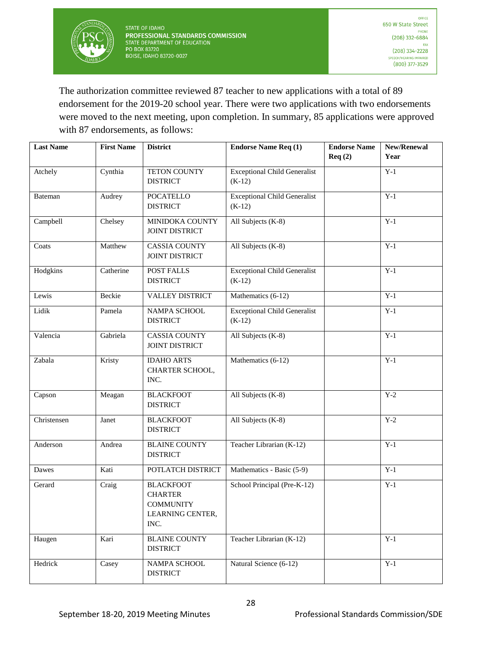

The authorization committee reviewed 87 teacher to new applications with a total of 89 endorsement for the 2019-20 school year. There were two applications with two endorsements were moved to the next meeting, upon completion. In summary, 85 applications were approved with 87 endorsements, as follows:

| <b>Last Name</b> | <b>First Name</b> | <b>District</b>                                                                    | <b>Endorse Name Req (1)</b>                     | <b>Endorse Name</b><br>Req(2) | New/Renewal<br>Year |
|------------------|-------------------|------------------------------------------------------------------------------------|-------------------------------------------------|-------------------------------|---------------------|
| Atchely          | Cynthia           | TETON COUNTY<br><b>DISTRICT</b>                                                    | <b>Exceptional Child Generalist</b><br>$(K-12)$ |                               | $Y-1$               |
| Bateman          | Audrey            | <b>POCATELLO</b><br><b>DISTRICT</b>                                                | <b>Exceptional Child Generalist</b><br>$(K-12)$ |                               | $\overline{Y-1}$    |
| Campbell         | Chelsey           | MINIDOKA COUNTY<br><b>JOINT DISTRICT</b>                                           | All Subjects (K-8)                              |                               | $Y-1$               |
| Coats            | Matthew           | <b>CASSIA COUNTY</b><br>JOINT DISTRICT                                             | All Subjects (K-8)                              |                               | $\overline{Y-1}$    |
| Hodgkins         | Catherine         | POST FALLS<br><b>DISTRICT</b>                                                      | <b>Exceptional Child Generalist</b><br>$(K-12)$ |                               | $Y-1$               |
| Lewis            | Beckie            | VALLEY DISTRICT                                                                    | Mathematics (6-12)                              |                               | $Y-1$               |
| Lidik            | Pamela            | NAMPA SCHOOL<br><b>DISTRICT</b>                                                    | <b>Exceptional Child Generalist</b><br>$(K-12)$ |                               | $Y-1$               |
| Valencia         | Gabriela          | <b>CASSIA COUNTY</b><br>JOINT DISTRICT                                             | All Subjects (K-8)                              |                               | $Y-1$               |
| Zabala           | Kristy            | <b>IDAHO ARTS</b><br>CHARTER SCHOOL,<br>INC.                                       | Mathematics (6-12)                              |                               | $Y-1$               |
| Capson           | Meagan            | <b>BLACKFOOT</b><br><b>DISTRICT</b>                                                | All Subjects (K-8)                              |                               | $Y-2$               |
| Christensen      | Janet             | <b>BLACKFOOT</b><br><b>DISTRICT</b>                                                | All Subjects (K-8)                              |                               | $Y-2$               |
| Anderson         | Andrea            | <b>BLAINE COUNTY</b><br><b>DISTRICT</b>                                            | Teacher Librarian (K-12)                        |                               | $\overline{Y-1}$    |
| Dawes            | Kati              | POTLATCH DISTRICT                                                                  | Mathematics - Basic (5-9)                       |                               | $Y-1$               |
| Gerard           | Craig             | <b>BLACKFOOT</b><br><b>CHARTER</b><br><b>COMMUNITY</b><br>LEARNING CENTER,<br>INC. | School Principal (Pre-K-12)                     |                               | $Y-1$               |
| Haugen           | Kari              | <b>BLAINE COUNTY</b><br><b>DISTRICT</b>                                            | Teacher Librarian (K-12)                        |                               | $\overline{Y-1}$    |
| Hedrick          | Casey             | NAMPA SCHOOL<br><b>DISTRICT</b>                                                    | Natural Science (6-12)                          |                               | $Y-1$               |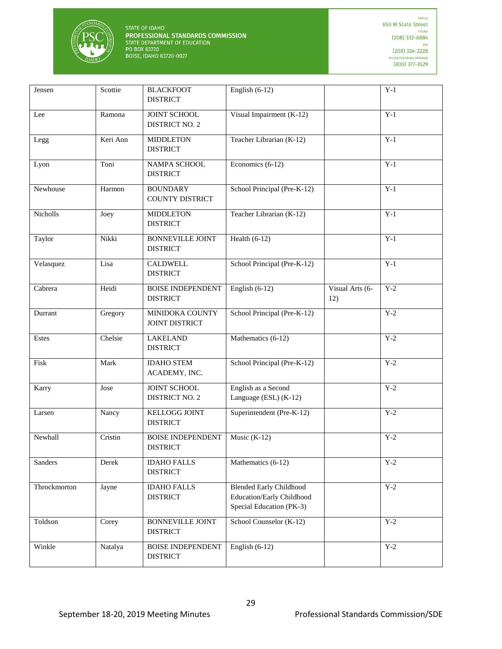

| Jensen       | Scottie  | <b>BLACKFOOT</b><br><b>DISTRICT</b>             | English $(6-12)$                                                                               |                        | $Y-1$            |
|--------------|----------|-------------------------------------------------|------------------------------------------------------------------------------------------------|------------------------|------------------|
| Lee          | Ramona   | JOINT SCHOOL<br><b>DISTRICT NO. 2</b>           | Visual Impairment $(K-12)$                                                                     |                        | $Y-1$            |
| Legg         | Keri Ann | <b>MIDDLETON</b><br><b>DISTRICT</b>             | Teacher Librarian (K-12)                                                                       |                        | $Y-1$            |
| Lyon         | Toni     | NAMPA SCHOOL<br><b>DISTRICT</b>                 | Economics (6-12)                                                                               |                        | $Y-1$            |
| Newhouse     | Harmon   | <b>BOUNDARY</b><br><b>COUNTY DISTRICT</b>       | School Principal (Pre-K-12)                                                                    |                        | $Y-1$            |
| Nicholls     | Joey     | <b>MIDDLETON</b><br><b>DISTRICT</b>             | Teacher Librarian (K-12)                                                                       |                        | $Y-1$            |
| Taylor       | Nikki    | <b>BONNEVILLE JOINT</b><br><b>DISTRICT</b>      | Health $(6-12)$                                                                                |                        | $Y-1$            |
| Velasquez    | Lisa     | <b>CALDWELL</b><br><b>DISTRICT</b>              | School Principal (Pre-K-12)                                                                    |                        | $Y-1$            |
| Cabrera      | Heidi    | <b>BOISE INDEPENDENT</b><br><b>DISTRICT</b>     | English $(6-12)$                                                                               | Visual Arts (6-<br>12) | $\overline{Y-2}$ |
| Durrant      | Gregory  | <b>MINIDOKA COUNTY</b><br><b>JOINT DISTRICT</b> | School Principal (Pre-K-12)                                                                    |                        | $Y-2$            |
| Estes        | Chelsie  | <b>LAKELAND</b><br><b>DISTRICT</b>              | Mathematics (6-12)                                                                             |                        | $Y-2$            |
| Fisk         | Mark     | <b>IDAHO STEM</b><br>ACADEMY, INC.              | School Principal (Pre-K-12)                                                                    |                        | $Y-2$            |
| Karry        | Jose     | JOINT SCHOOL<br><b>DISTRICT NO. 2</b>           | English as a Second<br>Language (ESL) (K-12)                                                   |                        | $Y-2$            |
| Larsen       | Nancy    | <b>KELLOGG JOINT</b><br><b>DISTRICT</b>         | Superintendent (Pre-K-12)                                                                      |                        | $Y-2$            |
| Newhall      | Cristin  | <b>BOISE INDEPENDENT</b><br><b>DISTRICT</b>     | Music $(K-12)$                                                                                 |                        | $Y-2$            |
| Sanders      | Derek    | <b>IDAHO FALLS</b><br><b>DISTRICT</b>           | Mathematics (6-12)                                                                             |                        | $Y-2$            |
| Throckmorton | Jayne    | <b>IDAHO FALLS</b><br><b>DISTRICT</b>           | <b>Blended Early Childhood</b><br><b>Education/Early Childhood</b><br>Special Education (PK-3) |                        | $Y-2$            |
| Toldson      | Corey    | <b>BONNEVILLE JOINT</b><br><b>DISTRICT</b>      | School Counselor (K-12)                                                                        |                        | $Y-2$            |
| Winkle       | Natalya  | <b>BOISE INDEPENDENT</b><br><b>DISTRICT</b>     | English $(6-12)$                                                                               |                        | $Y-2$            |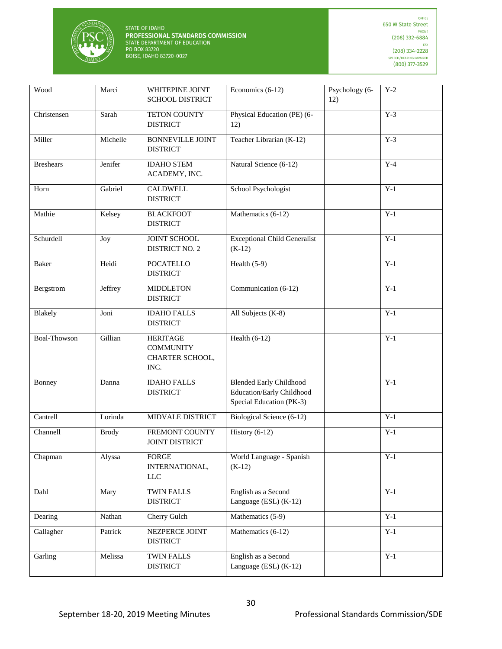

| Wood                | Marci        | WHITEPINE JOINT<br>SCHOOL DISTRICT                             | Economics (6-12)                                                                               | Psychology (6-<br>12) | $Y-2$            |
|---------------------|--------------|----------------------------------------------------------------|------------------------------------------------------------------------------------------------|-----------------------|------------------|
| Christensen         | Sarah        | <b>TETON COUNTY</b><br><b>DISTRICT</b>                         | Physical Education (PE) (6-<br>12)                                                             |                       | $Y-3$            |
| Miller              | Michelle     | <b>BONNEVILLE JOINT</b><br><b>DISTRICT</b>                     | Teacher Librarian (K-12)                                                                       |                       | $Y-3$            |
| <b>Breshears</b>    | Jenifer      | <b>IDAHO STEM</b><br>ACADEMY, INC.                             | Natural Science (6-12)                                                                         |                       | $Y-4$            |
| Horn                | Gabriel      | <b>CALDWELL</b><br><b>DISTRICT</b>                             | School Psychologist                                                                            |                       | $Y-1$            |
| Mathie              | Kelsey       | <b>BLACKFOOT</b><br><b>DISTRICT</b>                            | Mathematics (6-12)                                                                             |                       | $Y-1$            |
| Schurdell           | Joy          | JOINT SCHOOL<br><b>DISTRICT NO. 2</b>                          | <b>Exceptional Child Generalist</b><br>$(K-12)$                                                |                       | $Y-1$            |
| Baker               | Heidi        | <b>POCATELLO</b><br><b>DISTRICT</b>                            | Health $(5-9)$                                                                                 |                       | $Y-1$            |
| Bergstrom           | Jeffrey      | <b>MIDDLETON</b><br><b>DISTRICT</b>                            | Communication (6-12)                                                                           |                       | $Y-1$            |
| Blakely             | Joni         | <b>IDAHO FALLS</b><br><b>DISTRICT</b>                          | All Subjects (K-8)                                                                             |                       | $Y-1$            |
| <b>Boal-Thowson</b> | Gillian      | <b>HERITAGE</b><br><b>COMMUNITY</b><br>CHARTER SCHOOL,<br>INC. | Health $(6-12)$                                                                                |                       | $Y-1$            |
| Bonney              | Danna        | <b>IDAHO FALLS</b><br><b>DISTRICT</b>                          | <b>Blended Early Childhood</b><br><b>Education/Early Childhood</b><br>Special Education (PK-3) |                       | $Y-1$            |
| Cantrell            | Lorinda      | MIDVALE DISTRICT                                               | Biological Science (6-12)                                                                      |                       | $Y-1$            |
| Channell            | <b>Brody</b> | FREMONT COUNTY<br><b>JOINT DISTRICT</b>                        | History $(6-12)$                                                                               |                       | $Y-1$            |
| Chapman             | Alyssa       | <b>FORGE</b><br>INTERNATIONAL,<br>$LLC$                        | World Language - Spanish<br>$(K-12)$                                                           |                       | $\overline{Y-1}$ |
| Dahl                | Mary         | <b>TWIN FALLS</b><br><b>DISTRICT</b>                           | English as a Second<br>Language (ESL) $(K-12)$                                                 |                       | $Y-1$            |
| Dearing             | Nathan       | Cherry Gulch                                                   | Mathematics (5-9)                                                                              |                       | $Y-1$            |
| Gallagher           | Patrick      | NEZPERCE JOINT<br><b>DISTRICT</b>                              | Mathematics (6-12)                                                                             |                       | $Y-1$            |
| Garling             | Melissa      | <b>TWIN FALLS</b><br><b>DISTRICT</b>                           | English as a Second<br>Language (ESL) (K-12)                                                   |                       | $Y-1$            |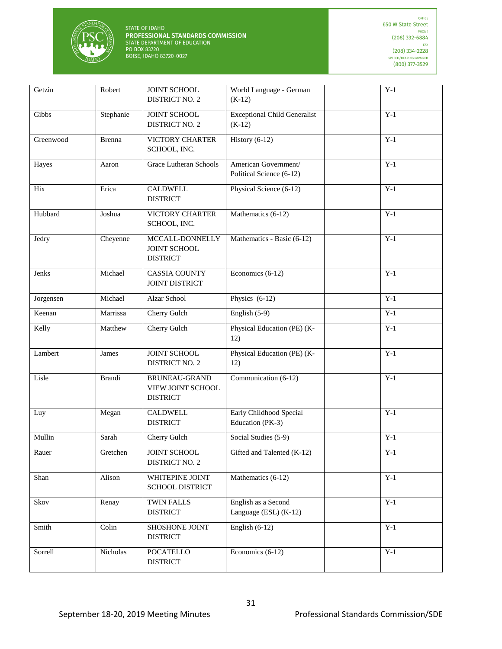

| Robert        | JOINT SCHOOL<br><b>DISTRICT NO. 2</b>                        | World Language - German<br>$(K-12)$              | $Y-1$            |
|---------------|--------------------------------------------------------------|--------------------------------------------------|------------------|
| Stephanie     | <b>JOINT SCHOOL</b><br><b>DISTRICT NO. 2</b>                 | <b>Exceptional Child Generalist</b><br>$(K-12)$  | $\overline{Y-1}$ |
| Brenna        | <b>VICTORY CHARTER</b><br>SCHOOL, INC.                       | History $(6-12)$                                 | $Y-1$            |
| Aaron         | <b>Grace Lutheran Schools</b>                                | American Government/<br>Political Science (6-12) | $Y-1$            |
| Erica         | <b>CALDWELL</b><br><b>DISTRICT</b>                           | Physical Science (6-12)                          | $Y-1$            |
| Joshua        | VICTORY CHARTER<br>SCHOOL, INC.                              | Mathematics (6-12)                               | $Y-1$            |
| Cheyenne      | MCCALL-DONNELLY<br>JOINT SCHOOL<br><b>DISTRICT</b>           | Mathematics - Basic (6-12)                       | $Y-1$            |
| Michael       | <b>CASSIA COUNTY</b><br><b>JOINT DISTRICT</b>                | Economics (6-12)                                 | $Y-1$            |
| Michael       | Alzar School                                                 | Physics $(6-12)$                                 | $Y-1$            |
| Marrissa      | Cherry Gulch                                                 | English $(5-9)$                                  | $Y-1$            |
| Matthew       | Cherry Gulch                                                 | Physical Education (PE) (K-<br>12)               | $Y-1$            |
| James         | <b>JOINT SCHOOL</b><br><b>DISTRICT NO. 2</b>                 | Physical Education (PE) (K-<br>12)               | $Y-1$            |
| <b>Brandi</b> | <b>BRUNEAU-GRAND</b><br>VIEW JOINT SCHOOL<br><b>DISTRICT</b> | Communication (6-12)                             | $Y-1$            |
| Megan         | <b>CALDWELL</b><br><b>DISTRICT</b>                           | Early Childhood Special<br>Education (PK-3)      | $Y-1$            |
| Sarah         | Cherry Gulch                                                 | Social Studies (5-9)                             | $Y-1$            |
| Gretchen      | JOINT SCHOOL<br><b>DISTRICT NO. 2</b>                        | Gifted and Talented (K-12)                       | $Y-1$            |
| Alison        | WHITEPINE JOINT<br>SCHOOL DISTRICT                           | Mathematics (6-12)                               | $Y-1$            |
| Renay         | <b>TWIN FALLS</b><br><b>DISTRICT</b>                         | English as a Second<br>Language (ESL) (K-12)     | $Y-1$            |
| Colin         | SHOSHONE JOINT<br><b>DISTRICT</b>                            | English $(6-12)$                                 | $Y-1$            |
| Nicholas      | <b>POCATELLO</b><br><b>DISTRICT</b>                          | Economics $(6-12)$                               | $Y-1$            |
|               |                                                              |                                                  |                  |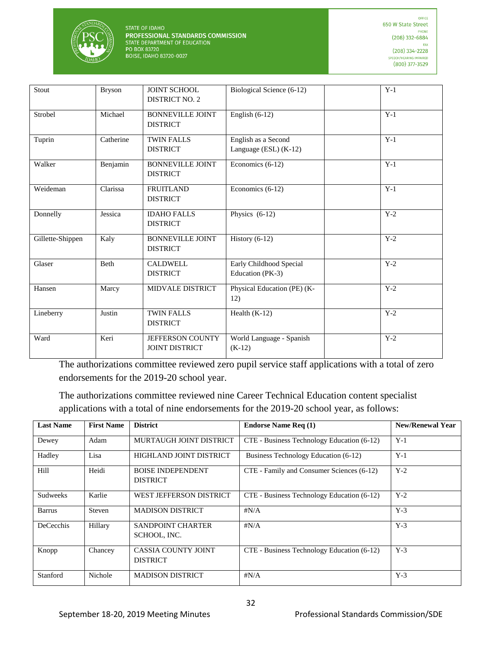

| Stout            | <b>Bryson</b> | <b>JOINT SCHOOL</b><br><b>DISTRICT NO. 2</b> | Biological Science (6-12)                    | $Y-1$ |
|------------------|---------------|----------------------------------------------|----------------------------------------------|-------|
| Strobel          | Michael       | <b>BONNEVILLE JOINT</b><br><b>DISTRICT</b>   | English $(6-12)$                             | $Y-1$ |
| Tuprin           | Catherine     | <b>TWIN FALLS</b><br><b>DISTRICT</b>         | English as a Second<br>Language (ESL) (K-12) | $Y-1$ |
| Walker           | Benjamin      | <b>BONNEVILLE JOINT</b><br><b>DISTRICT</b>   | Economics (6-12)                             | $Y-1$ |
| Weideman         | Clarissa      | <b>FRUITLAND</b><br><b>DISTRICT</b>          | Economics (6-12)                             | $Y-1$ |
| Donnelly         | Jessica       | <b>IDAHO FALLS</b><br><b>DISTRICT</b>        | Physics $(6-12)$                             | $Y-2$ |
| Gillette-Shippen | Kaly          | <b>BONNEVILLE JOINT</b><br><b>DISTRICT</b>   | History $(6-12)$                             | $Y-2$ |
| Glaser           | Beth          | <b>CALDWELL</b><br><b>DISTRICT</b>           | Early Childhood Special<br>Education (PK-3)  | $Y-2$ |
| Hansen           | Marcy         | <b>MIDVALE DISTRICT</b>                      | Physical Education (PE) (K-<br>12)           | $Y-2$ |
| Lineberry        | Justin        | <b>TWIN FALLS</b><br><b>DISTRICT</b>         | Health $(K-12)$                              | $Y-2$ |
| Ward             | Keri          | JEFFERSON COUNTY<br><b>JOINT DISTRICT</b>    | World Language - Spanish<br>$(K-12)$         | $Y-2$ |

The authorizations committee reviewed zero pupil service staff applications with a total of zero endorsements for the 2019-20 school year.

The authorizations committee reviewed nine Career Technical Education content specialist applications with a total of nine endorsements for the 2019-20 school year, as follows:

| <b>Last Name</b> | <b>First Name</b> | <b>District</b>                               | <b>Endorse Name Req (1)</b>                | <b>New/Renewal Year</b> |
|------------------|-------------------|-----------------------------------------------|--------------------------------------------|-------------------------|
| Dewey            | Adam              | MURTAUGH JOINT DISTRICT                       | CTE - Business Technology Education (6-12) | $Y-1$                   |
| Hadley           | Lisa              | HIGHLAND JOINT DISTRICT                       | Business Technology Education (6-12)       | $Y-1$                   |
| Hill             | Heidi             | <b>BOISE INDEPENDENT</b><br><b>DISTRICT</b>   | CTE - Family and Consumer Sciences (6-12)  | $Y-2$                   |
| Sudweeks         | Karlie            | WEST JEFFERSON DISTRICT                       | CTE - Business Technology Education (6-12) | $Y-2$                   |
| <b>Barrus</b>    | Steven            | <b>MADISON DISTRICT</b>                       | $\sharp N/A$                               | $Y-3$                   |
| <b>DeCecchis</b> | Hillary           | <b>SANDPOINT CHARTER</b><br>SCHOOL, INC.      | $\sharp N/A$                               | $Y-3$                   |
| Knopp            | Chancey           | <b>CASSIA COUNTY JOINT</b><br><b>DISTRICT</b> | CTE - Business Technology Education (6-12) | $Y-3$                   |
| Stanford         | Nichole           | <b>MADISON DISTRICT</b>                       | $\sharp N/A$                               | $Y-3$                   |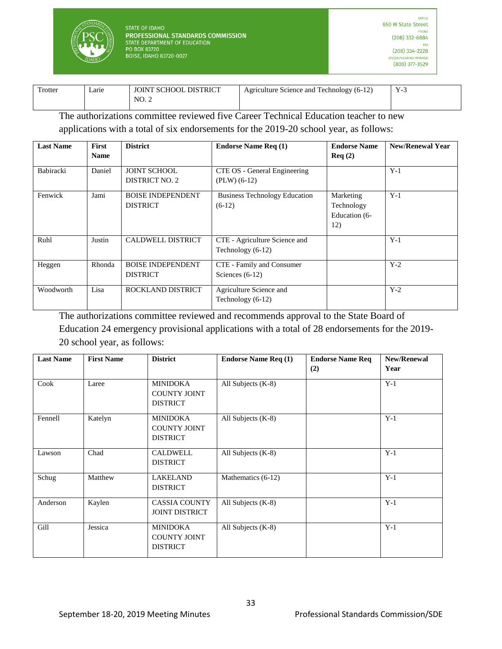

| Trotter<br>Larıe | <b>JOINT SCHOOL DISTRICT</b><br>NO.2 | Agriculture Science and Technology (6-12) | $\mathbf{v}$<br>$1 - 3$<br>__ |
|------------------|--------------------------------------|-------------------------------------------|-------------------------------|
|------------------|--------------------------------------|-------------------------------------------|-------------------------------|

The authorizations committee reviewed five Career Technical Education teacher to new applications with a total of six endorsements for the 2019-20 school year, as follows:

| <b>Last Name</b> | First<br><b>Name</b> | <b>District</b>                             | <b>Endorse Name Req (1)</b>                        | <b>Endorse Name</b><br>Req(2)                   | <b>New/Renewal Year</b> |
|------------------|----------------------|---------------------------------------------|----------------------------------------------------|-------------------------------------------------|-------------------------|
| Babiracki        | Daniel               | <b>JOINT SCHOOL</b><br>DISTRICT NO. 2       | CTE OS - General Engineering<br>$(PLW) (6-12)$     |                                                 | $Y-1$                   |
| Fenwick          | Jami                 | <b>BOISE INDEPENDENT</b><br><b>DISTRICT</b> | <b>Business Technology Education</b><br>$(6-12)$   | Marketing<br>Technology<br>Education (6-<br>12) | $Y-1$                   |
| Ruhl             | Justin               | CALDWELL DISTRICT                           | CTE - Agriculture Science and<br>Technology (6-12) |                                                 | $Y-1$                   |
| Heggen           | Rhonda               | <b>BOISE INDEPENDENT</b><br><b>DISTRICT</b> | CTE - Family and Consumer<br>Sciences $(6-12)$     |                                                 | $Y-2$                   |
| Woodworth        | Lisa                 | ROCKLAND DISTRICT                           | Agriculture Science and<br>Technology $(6-12)$     |                                                 | $Y-2$                   |

The authorizations committee reviewed and recommends approval to the State Board of Education 24 emergency provisional applications with a total of 28 endorsements for the 2019- 20 school year, as follows:

| <b>Last Name</b> | <b>First Name</b> | <b>District</b>                                           | <b>Endorse Name Req (1)</b> | <b>Endorse Name Req</b><br>(2) | <b>New/Renewal</b><br>Year |
|------------------|-------------------|-----------------------------------------------------------|-----------------------------|--------------------------------|----------------------------|
| Cook             | Laree             | <b>MINIDOKA</b><br><b>COUNTY JOINT</b><br><b>DISTRICT</b> | All Subjects (K-8)          |                                | $Y-1$                      |
| Fennell          | Katelyn           | <b>MINIDOKA</b><br><b>COUNTY JOINT</b><br><b>DISTRICT</b> | All Subjects (K-8)          |                                | $Y-1$                      |
| Lawson           | Chad              | <b>CALDWELL</b><br><b>DISTRICT</b>                        | All Subjects (K-8)          |                                | $Y-1$                      |
| Schug            | Matthew           | LAKELAND<br><b>DISTRICT</b>                               | Mathematics (6-12)          |                                | $Y-1$                      |
| Anderson         | Kaylen            | <b>CASSIA COUNTY</b><br><b>JOINT DISTRICT</b>             | All Subjects (K-8)          |                                | $Y-1$                      |
| Gill             | Jessica           | <b>MINIDOKA</b><br><b>COUNTY JOINT</b><br><b>DISTRICT</b> | All Subjects (K-8)          |                                | $Y-1$                      |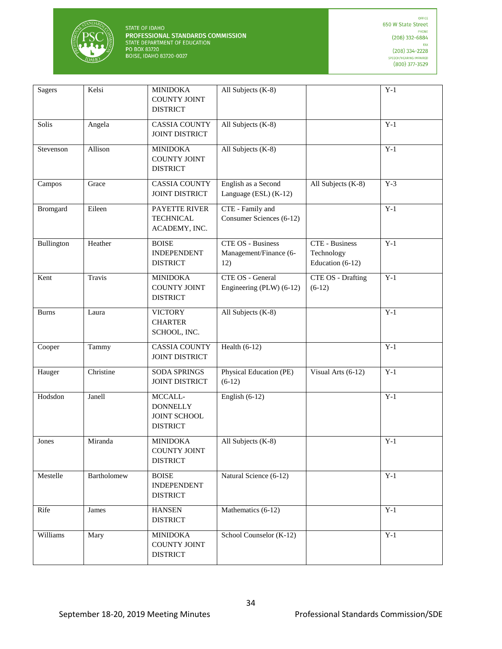

| <b>Sagers</b>   | Kelsi       | <b>MINIDOKA</b><br><b>COUNTY JOINT</b><br><b>DISTRICT</b>     | All Subjects (K-8)                                        |                                                  | $Y-1$ |
|-----------------|-------------|---------------------------------------------------------------|-----------------------------------------------------------|--------------------------------------------------|-------|
| Solis           | Angela      | <b>CASSIA COUNTY</b><br>JOINT DISTRICT                        | All Subjects (K-8)                                        |                                                  | $Y-1$ |
| Stevenson       | Allison     | <b>MINIDOKA</b><br><b>COUNTY JOINT</b><br><b>DISTRICT</b>     | All Subjects (K-8)                                        |                                                  | $Y-1$ |
| Campos          | Grace       | <b>CASSIA COUNTY</b><br>JOINT DISTRICT                        | English as a Second<br>Language (ESL) $(K-12)$            | All Subjects (K-8)                               | $Y-3$ |
| <b>Bromgard</b> | Eileen      | PAYETTE RIVER<br><b>TECHNICAL</b><br>ACADEMY, INC.            | CTE - Family and<br>Consumer Sciences (6-12)              |                                                  | $Y-1$ |
| Bullington      | Heather     | <b>BOISE</b><br><b>INDEPENDENT</b><br><b>DISTRICT</b>         | <b>CTE OS - Business</b><br>Management/Finance (6-<br>12) | CTE - Business<br>Technology<br>Education (6-12) | $Y-1$ |
| Kent            | Travis      | <b>MINIDOKA</b><br><b>COUNTY JOINT</b><br><b>DISTRICT</b>     | CTE OS - General<br>Engineering (PLW) (6-12)              | CTE OS - Drafting<br>$(6-12)$                    | $Y-1$ |
| <b>Burns</b>    | Laura       | <b>VICTORY</b><br><b>CHARTER</b><br>SCHOOL, INC.              | All Subjects (K-8)                                        |                                                  | $Y-1$ |
| Cooper          | Tammy       | <b>CASSIA COUNTY</b><br>JOINT DISTRICT                        | Health $(6-12)$                                           |                                                  | $Y-1$ |
| Hauger          | Christine   | <b>SODA SPRINGS</b><br>JOINT DISTRICT                         | Physical Education (PE)<br>$(6-12)$                       | $\overline{\text{Visual}}$ Arts (6-12)           | $Y-1$ |
| Hodsdon         | Janell      | MCCALL-<br><b>DONNELLY</b><br>JOINT SCHOOL<br><b>DISTRICT</b> | English $(6-12)$                                          |                                                  | $Y-1$ |
| Jones           | Miranda     | <b>MINIDOKA</b><br><b>COUNTY JOINT</b><br><b>DISTRICT</b>     | All Subjects (K-8)                                        |                                                  | $Y-1$ |
| Mestelle        | Bartholomew | <b>BOISE</b><br><b>INDEPENDENT</b><br><b>DISTRICT</b>         | Natural Science (6-12)                                    |                                                  | $Y-1$ |
| Rife            | James       | <b>HANSEN</b><br><b>DISTRICT</b>                              | Mathematics (6-12)                                        |                                                  | $Y-1$ |
| Williams        | Mary        | <b>MINIDOKA</b><br><b>COUNTY JOINT</b><br><b>DISTRICT</b>     | School Counselor (K-12)                                   |                                                  | $Y-1$ |